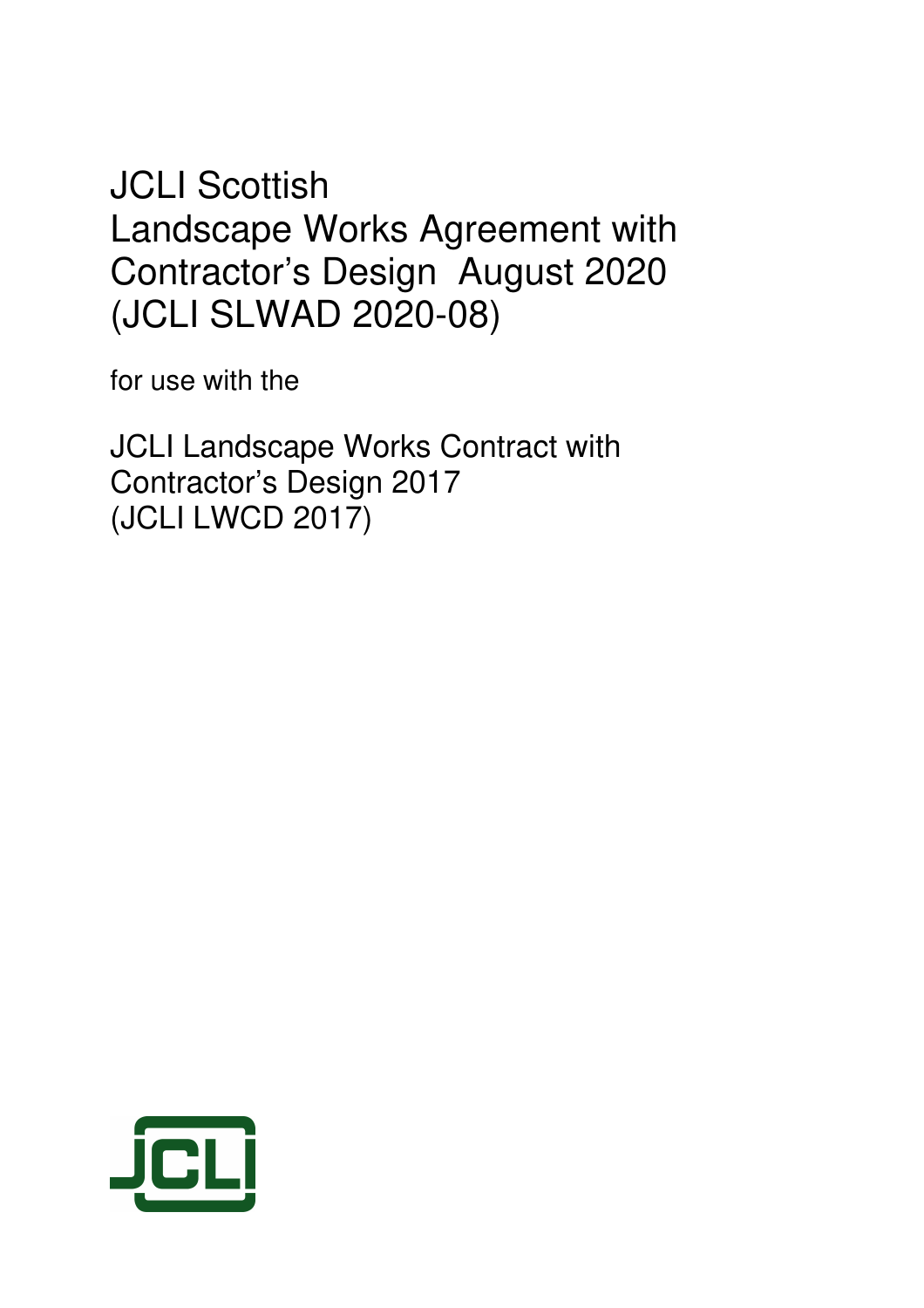JCLI Scottish Landscape Works Agreement with Contractor's Design August 2020 (JCLI SLWAD 2020-08)

for use with the

JCLI Landscape Works Contract with Contractor's Design 2017 (JCLI LWCD 2017)

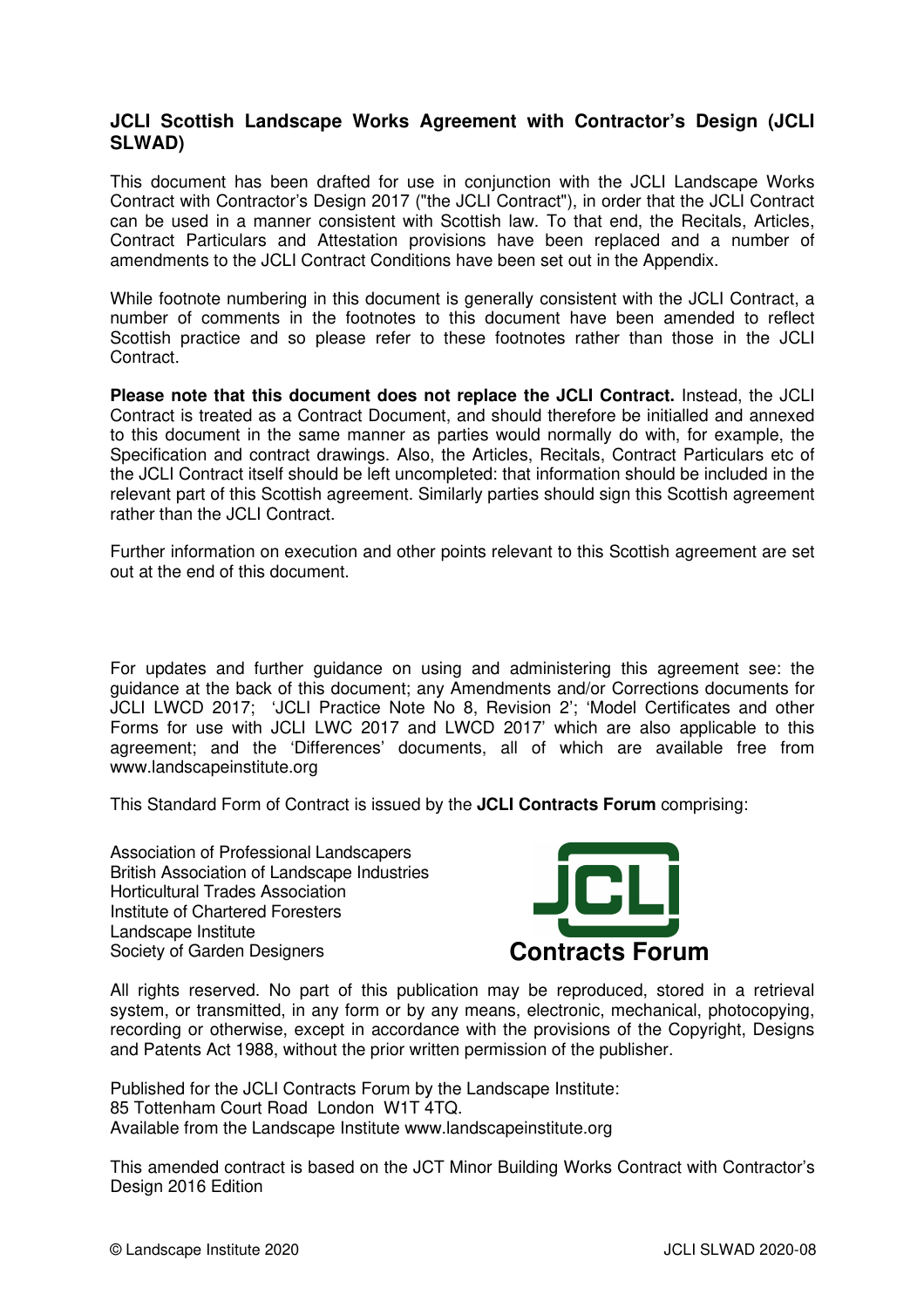# **JCLI Scottish Landscape Works Agreement with Contractor's Design (JCLI SLWAD)**

This document has been drafted for use in conjunction with the JCLI Landscape Works Contract with Contractor's Design 2017 ("the JCLI Contract"), in order that the JCLI Contract can be used in a manner consistent with Scottish law. To that end, the Recitals, Articles, Contract Particulars and Attestation provisions have been replaced and a number of amendments to the JCLI Contract Conditions have been set out in the Appendix.

While footnote numbering in this document is generally consistent with the JCLI Contract, a number of comments in the footnotes to this document have been amended to reflect Scottish practice and so please refer to these footnotes rather than those in the JCLI Contract.

**Please note that this document does not replace the JCLI Contract.** Instead, the JCLI Contract is treated as a Contract Document, and should therefore be initialled and annexed to this document in the same manner as parties would normally do with, for example, the Specification and contract drawings. Also, the Articles, Recitals, Contract Particulars etc of the JCLI Contract itself should be left uncompleted: that information should be included in the relevant part of this Scottish agreement. Similarly parties should sign this Scottish agreement rather than the JCLI Contract.

Further information on execution and other points relevant to this Scottish agreement are set out at the end of this document.

For updates and further guidance on using and administering this agreement see: the guidance at the back of this document; any Amendments and/or Corrections documents for JCLI LWCD 2017; 'JCLI Practice Note No 8, Revision 2'; 'Model Certificates and other Forms for use with JCLI LWC 2017 and LWCD 2017' which are also applicable to this agreement; and the 'Differences' documents, all of which are available free from www.landscapeinstitute.org

This Standard Form of Contract is issued by the **JCLI Contracts Forum** comprising:

Association of Professional Landscapers British Association of Landscape Industries Horticultural Trades Association Institute of Chartered Foresters Landscape Institute Society of Garden Designers **Contracts Forum** 



All rights reserved. No part of this publication may be reproduced, stored in a retrieval system, or transmitted, in any form or by any means, electronic, mechanical, photocopying, recording or otherwise, except in accordance with the provisions of the Copyright, Designs and Patents Act 1988, without the prior written permission of the publisher.

Published for the JCLI Contracts Forum by the Landscape Institute: 85 Tottenham Court Road London W1T 4TQ. Available from the Landscape Institute www.landscapeinstitute.org

This amended contract is based on the JCT Minor Building Works Contract with Contractor's Design 2016 Edition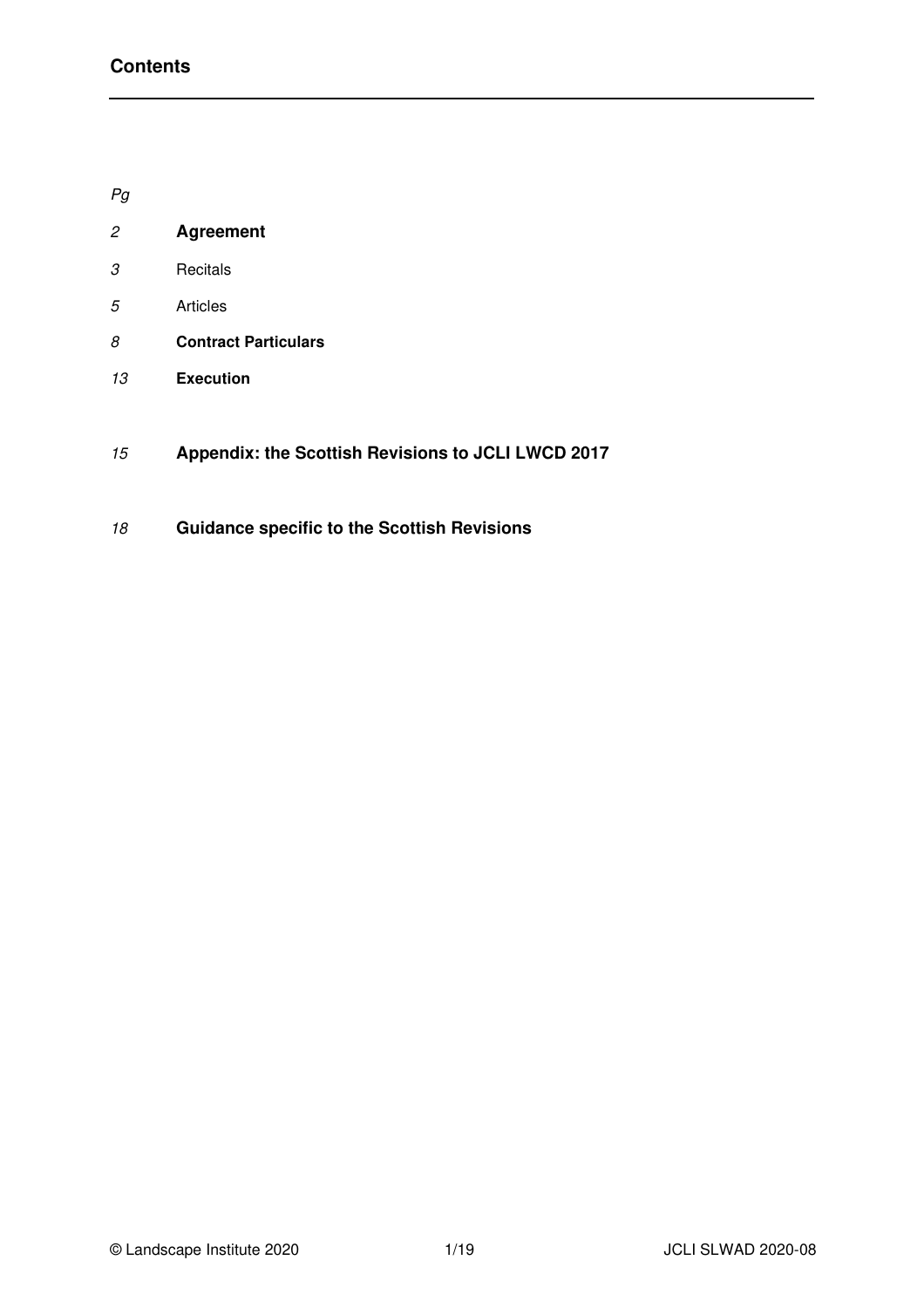Pg

| 2 | <b>Agreement</b> |
|---|------------------|
|   |                  |

- Recitals
- Articles
- **Contract Particulars**
- **Execution**
- **Appendix: the Scottish Revisions to JCLI LWCD 2017**
- **Guidance specific to the Scottish Revisions**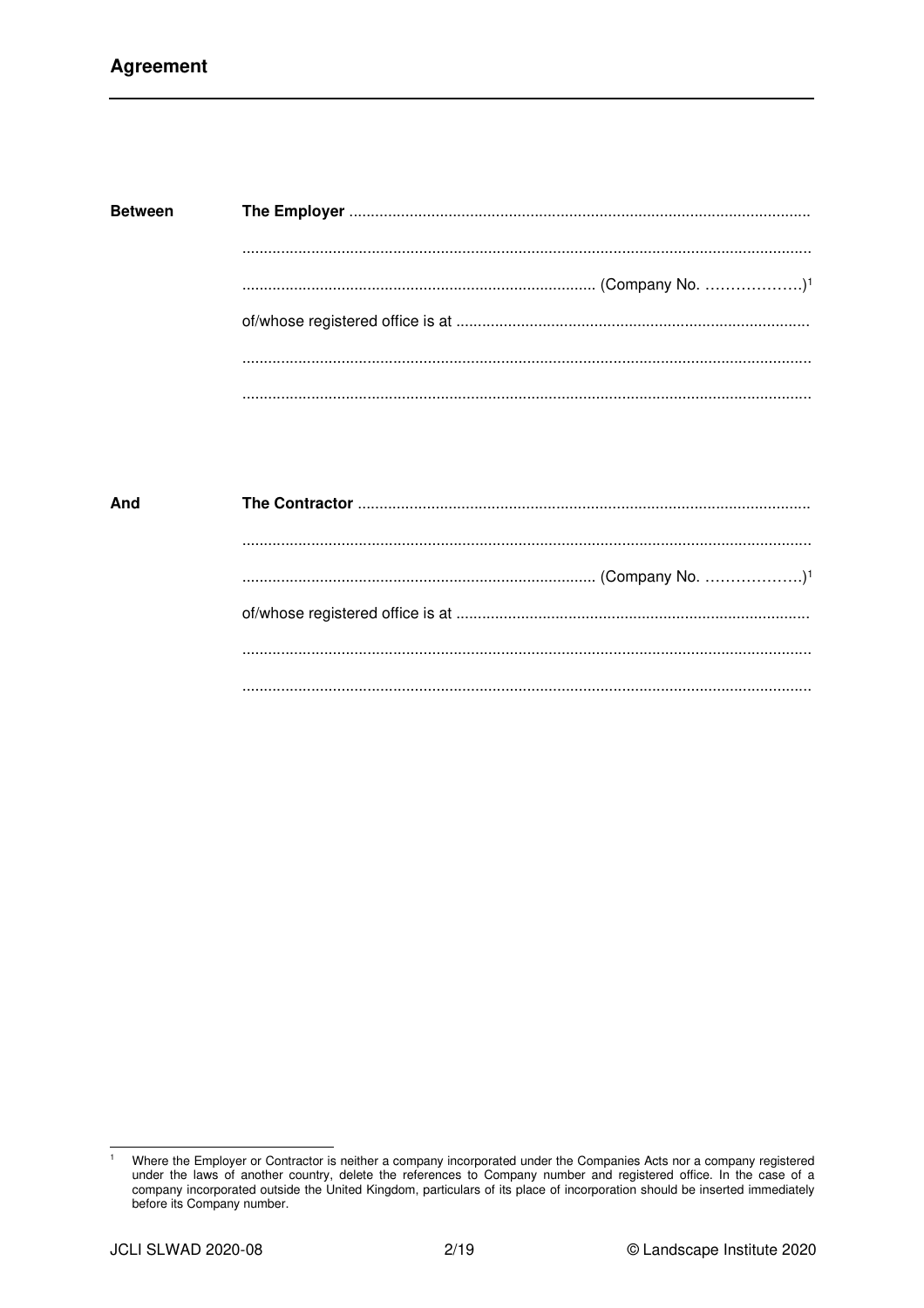| <b>Between</b> |  |
|----------------|--|
|                |  |
|                |  |
|                |  |
|                |  |

| And |  |
|-----|--|
|     |  |
|     |  |
|     |  |
|     |  |
|     |  |

 $\overline{1}$ Where the Employer or Contractor is neither a company incorporated under the Companies Acts nor a company registered under the laws of another country, delete the references to Company number and registered office. In the case of a company incorporated outside the United Kingdom, particulars of its place of incorporation should be inserted immediately before its Company number.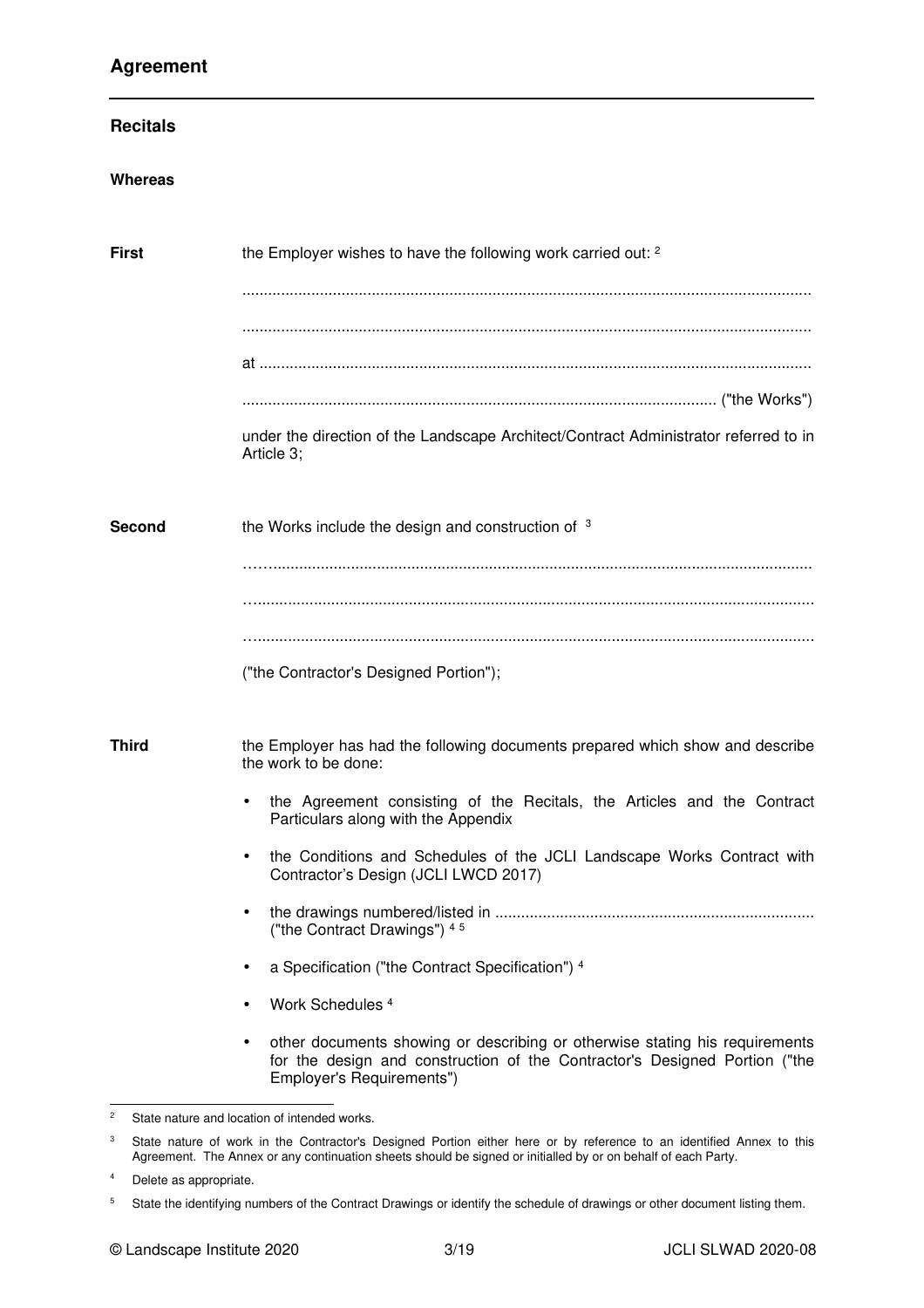# **Agreement**

| <b>Whereas</b><br>the Employer wishes to have the following work carried out: <sup>2</sup><br><b>First</b><br>Article 3;<br><b>Second</b><br>the Works include the design and construction of 3<br>("the Contractor's Designed Portion");<br><b>Third</b><br>the work to be done:<br>Particulars along with the Appendix<br>$\bullet$<br>Contractor's Design (JCLI LWCD 2017)<br>$\bullet$<br>("the Contract Drawings") 45<br>a Specification ("the Contract Specification") 4<br>$\bullet$<br>Work Schedules <sup>4</sup><br>$\bullet$ | <b>Recitals</b> |                                                                                                                                                           |
|-----------------------------------------------------------------------------------------------------------------------------------------------------------------------------------------------------------------------------------------------------------------------------------------------------------------------------------------------------------------------------------------------------------------------------------------------------------------------------------------------------------------------------------------|-----------------|-----------------------------------------------------------------------------------------------------------------------------------------------------------|
|                                                                                                                                                                                                                                                                                                                                                                                                                                                                                                                                         |                 |                                                                                                                                                           |
|                                                                                                                                                                                                                                                                                                                                                                                                                                                                                                                                         |                 |                                                                                                                                                           |
|                                                                                                                                                                                                                                                                                                                                                                                                                                                                                                                                         |                 |                                                                                                                                                           |
|                                                                                                                                                                                                                                                                                                                                                                                                                                                                                                                                         |                 | under the direction of the Landscape Architect/Contract Administrator referred to in                                                                      |
|                                                                                                                                                                                                                                                                                                                                                                                                                                                                                                                                         |                 |                                                                                                                                                           |
|                                                                                                                                                                                                                                                                                                                                                                                                                                                                                                                                         |                 |                                                                                                                                                           |
|                                                                                                                                                                                                                                                                                                                                                                                                                                                                                                                                         |                 | the Employer has had the following documents prepared which show and describe<br>the Agreement consisting of the Recitals, the Articles and the Contract  |
|                                                                                                                                                                                                                                                                                                                                                                                                                                                                                                                                         |                 | the Conditions and Schedules of the JCLI Landscape Works Contract with                                                                                    |
|                                                                                                                                                                                                                                                                                                                                                                                                                                                                                                                                         |                 |                                                                                                                                                           |
|                                                                                                                                                                                                                                                                                                                                                                                                                                                                                                                                         |                 |                                                                                                                                                           |
| $\bullet$<br>Employer's Requirements")<br>2<br>State nature and location of intended works.                                                                                                                                                                                                                                                                                                                                                                                                                                             |                 | other documents showing or describing or otherwise stating his requirements<br>for the design and construction of the Contractor's Designed Portion ("the |

<sup>3</sup> State nature of work in the Contractor's Designed Portion either here or by reference to an identified Annex to this Agreement. The Annex or any continuation sheets should be signed or initialled by or on behalf of each Party.

<sup>&</sup>lt;sup>4</sup> Delete as appropriate.

<sup>5</sup> State the identifying numbers of the Contract Drawings or identify the schedule of drawings or other document listing them.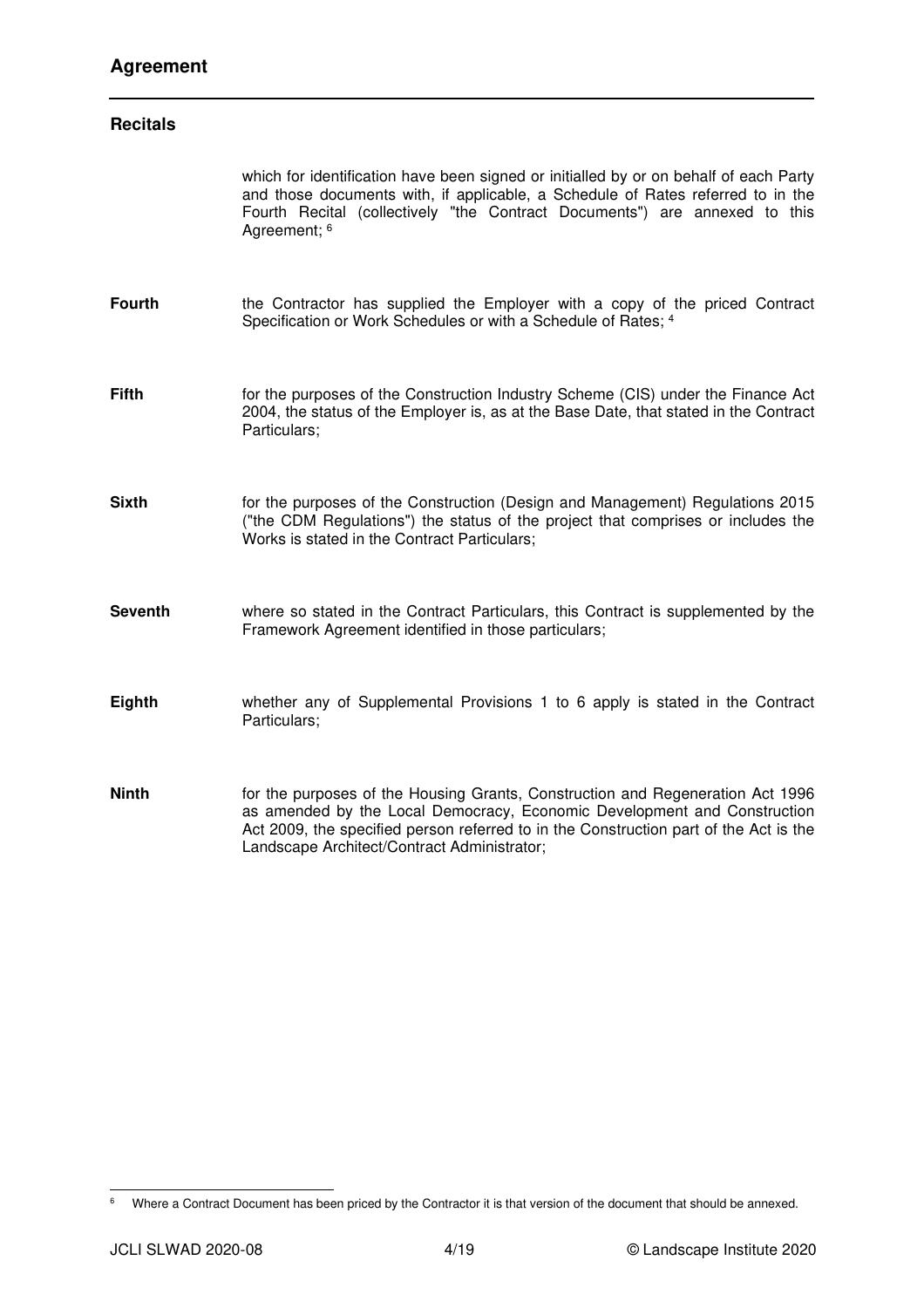# **Agreement**

| <b>Recitals</b> |                                                                                                                                                                                                                                                                                                    |
|-----------------|----------------------------------------------------------------------------------------------------------------------------------------------------------------------------------------------------------------------------------------------------------------------------------------------------|
|                 | which for identification have been signed or initialled by or on behalf of each Party<br>and those documents with, if applicable, a Schedule of Rates referred to in the<br>Fourth Recital (collectively "the Contract Documents") are annexed to this<br>Agreement; 6                             |
| <b>Fourth</b>   | the Contractor has supplied the Employer with a copy of the priced Contract<br>Specification or Work Schedules or with a Schedule of Rates; 4                                                                                                                                                      |
| <b>Fifth</b>    | for the purposes of the Construction Industry Scheme (CIS) under the Finance Act<br>2004, the status of the Employer is, as at the Base Date, that stated in the Contract<br>Particulars;                                                                                                          |
| <b>Sixth</b>    | for the purposes of the Construction (Design and Management) Regulations 2015<br>("the CDM Regulations") the status of the project that comprises or includes the<br>Works is stated in the Contract Particulars;                                                                                  |
| <b>Seventh</b>  | where so stated in the Contract Particulars, this Contract is supplemented by the<br>Framework Agreement identified in those particulars;                                                                                                                                                          |
| Eighth          | whether any of Supplemental Provisions 1 to 6 apply is stated in the Contract<br>Particulars;                                                                                                                                                                                                      |
| <b>Ninth</b>    | for the purposes of the Housing Grants, Construction and Regeneration Act 1996<br>as amended by the Local Democracy, Economic Development and Construction<br>Act 2009, the specified person referred to in the Construction part of the Act is the<br>Landscape Architect/Contract Administrator; |

<sup>&</sup>lt;sup>6</sup> Where a Contract Document has been priced by the Contractor it is that version of the document that should be annexed.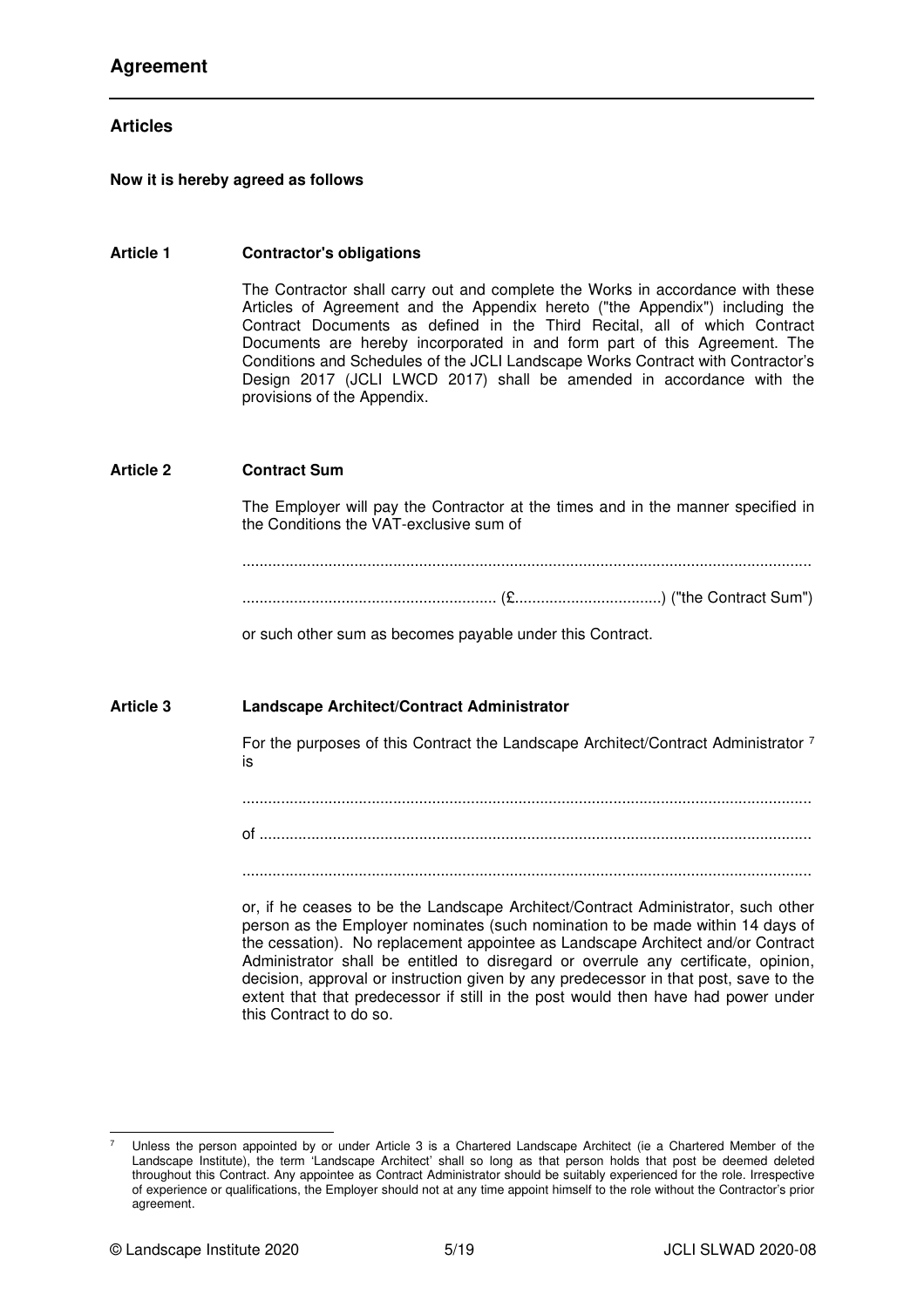## **Articles**

#### **Now it is hereby agreed as follows**

#### **Article 1 Contractor's obligations**

The Contractor shall carry out and complete the Works in accordance with these Articles of Agreement and the Appendix hereto ("the Appendix") including the Contract Documents as defined in the Third Recital, all of which Contract Documents are hereby incorporated in and form part of this Agreement. The Conditions and Schedules of the JCLI Landscape Works Contract with Contractor's Design 2017 (JCLI LWCD 2017) shall be amended in accordance with the provisions of the Appendix.

#### **Article 2 Contract Sum**

The Employer will pay the Contractor at the times and in the manner specified in the Conditions the VAT-exclusive sum of

....................................................................................................................................

........................................................... (£..................................) ("the Contract Sum")

or such other sum as becomes payable under this Contract.

#### **Article 3 Landscape Architect/Contract Administrator**

For the purposes of this Contract the Landscape Architect/Contract Administrator 7 is

....................................................................................................................................

of ................................................................................................................................

....................................................................................................................................

or, if he ceases to be the Landscape Architect/Contract Administrator, such other person as the Employer nominates (such nomination to be made within 14 days of the cessation). No replacement appointee as Landscape Architect and/or Contract Administrator shall be entitled to disregard or overrule any certificate, opinion, decision, approval or instruction given by any predecessor in that post, save to the extent that that predecessor if still in the post would then have had power under this Contract to do so.

Unless the person appointed by or under Article 3 is a Chartered Landscape Architect (ie a Chartered Member of the Landscape Institute), the term 'Landscape Architect' shall so long as that person holds that post be deemed deleted throughout this Contract. Any appointee as Contract Administrator should be suitably experienced for the role. Irrespective of experience or qualifications, the Employer should not at any time appoint himself to the role without the Contractor's prior agreement.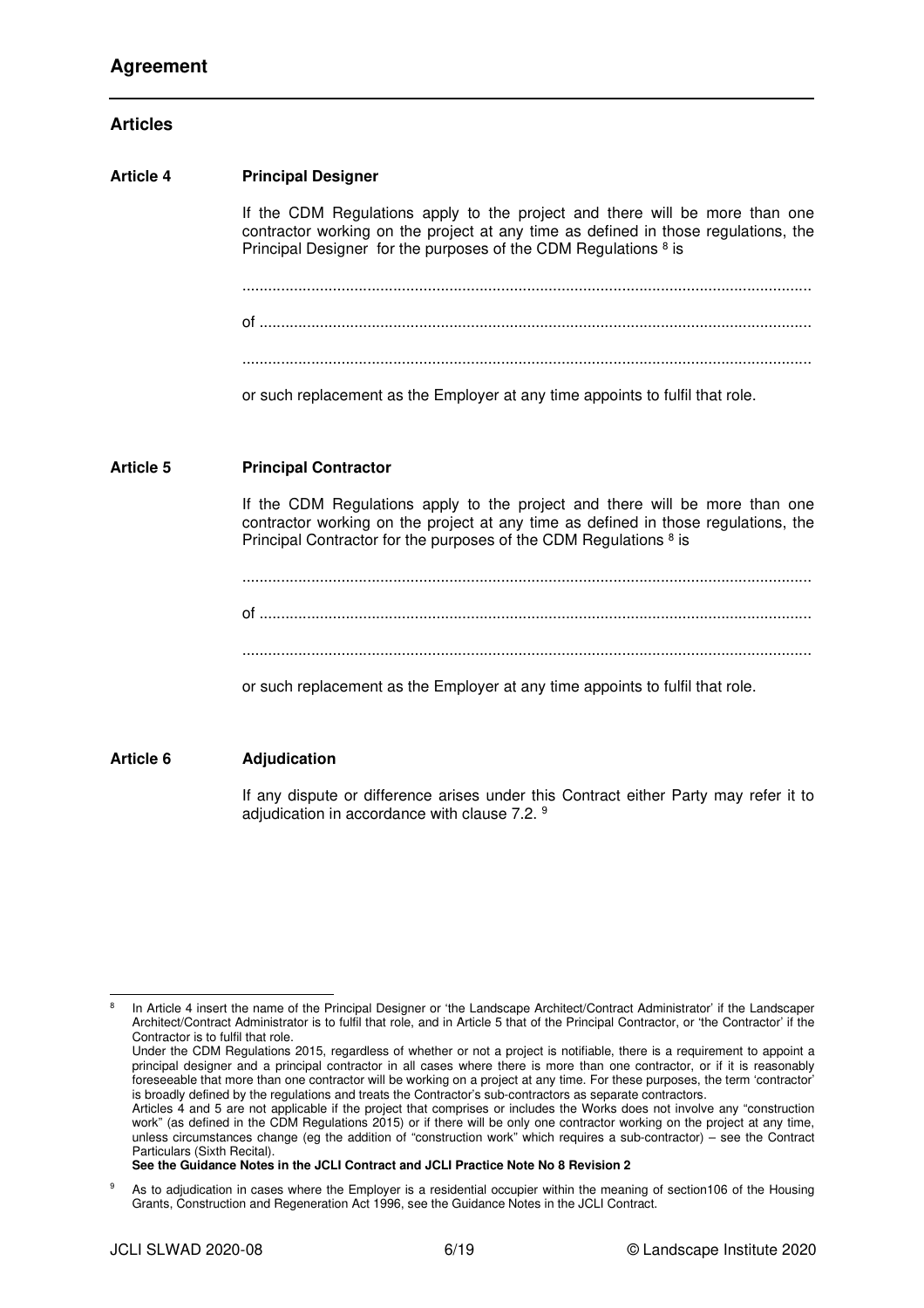## **Articles**

# **Article 4 Principal Designer**  If the CDM Regulations apply to the project and there will be more than one contractor working on the project at any time as defined in those regulations, the Principal Designer for the purposes of the CDM Regulations <sup>8</sup> is .................................................................................................................................... of ................................................................................................................................ .................................................................................................................................... or such replacement as the Employer at any time appoints to fulfil that role. **Article 5 Principal Contractor**  If the CDM Regulations apply to the project and there will be more than one contractor working on the project at any time as defined in those regulations, the Principal Contractor for the purposes of the CDM Regulations <sup>8</sup> is .................................................................................................................................... of ................................................................................................................................ .................................................................................................................................... or such replacement as the Employer at any time appoints to fulfil that role. **Article 6 Adjudication**

If any dispute or difference arises under this Contract either Party may refer it to adjudication in accordance with clause 7.2. <sup>9</sup>

**See the Guidance Notes in the JCLI Contract and JCLI Practice Note No 8 Revision 2** 

<sup>8</sup> In Article 4 insert the name of the Principal Designer or 'the Landscape Architect/Contract Administrator' if the Landscaper Architect/Contract Administrator is to fulfil that role, and in Article 5 that of the Principal Contractor, or 'the Contractor' if the Contractor is to fulfil that role.

Under the CDM Regulations 2015, regardless of whether or not a project is notifiable, there is a requirement to appoint a principal designer and a principal contractor in all cases where there is more than one contractor, or if it is reasonably foreseeable that more than one contractor will be working on a project at any time. For these purposes, the term 'contractor' is broadly defined by the regulations and treats the Contractor's sub-contractors as separate contractors.

Articles 4 and 5 are not applicable if the project that comprises or includes the Works does not involve any "construction work" (as defined in the CDM Regulations 2015) or if there will be only one contractor working on the project at any time, unless circumstances change (eg the addition of "construction work" which requires a sub-contractor) – see the Contract Particulars (Sixth Recital).

<sup>9</sup> As to adjudication in cases where the Employer is a residential occupier within the meaning of section106 of the Housing Grants, Construction and Regeneration Act 1996, see the Guidance Notes in the JCLI Contract.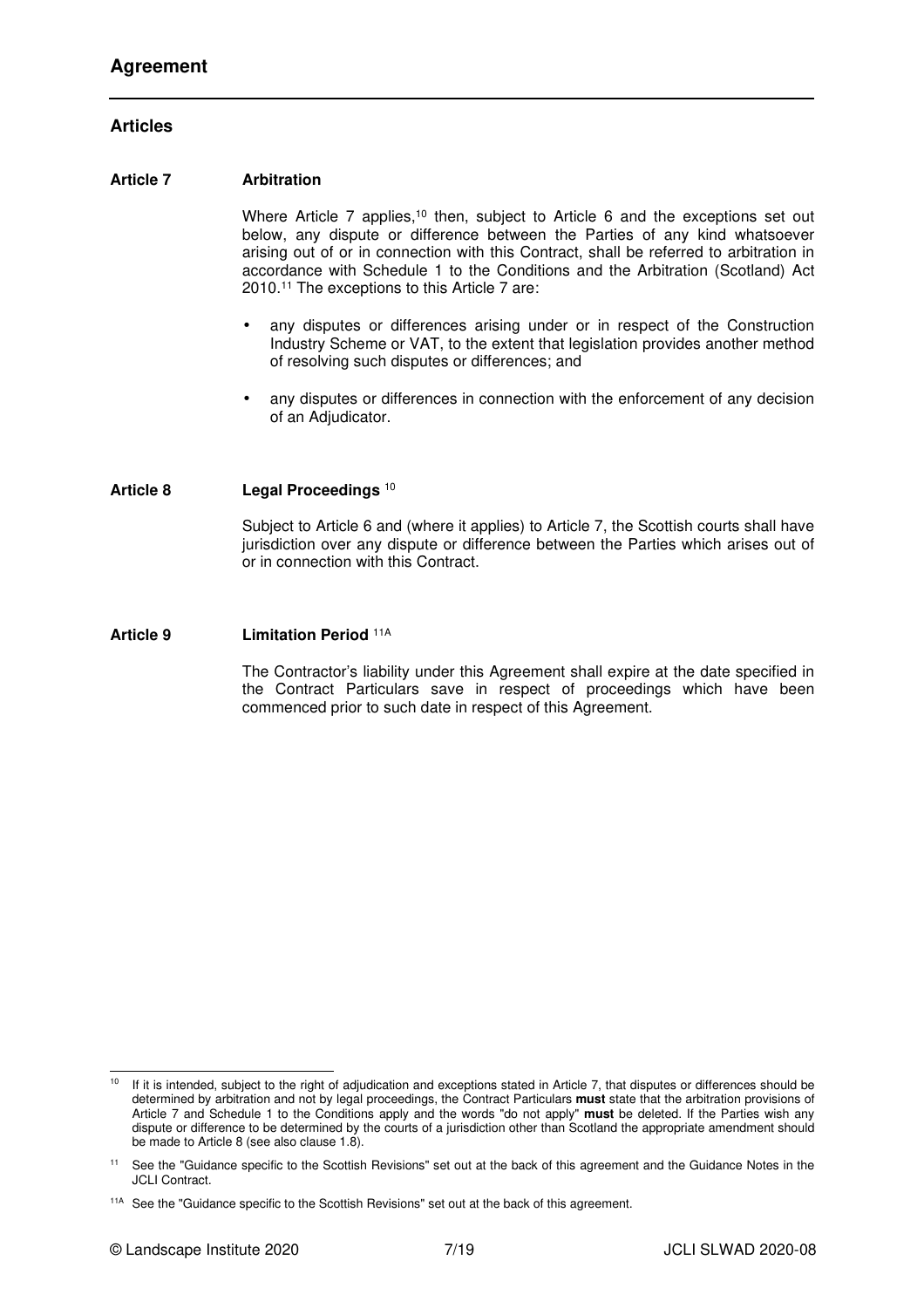## **Articles**

#### **Article 7 Arbitration**

Where Article 7 applies,<sup>10</sup> then, subject to Article 6 and the exceptions set out below, any dispute or difference between the Parties of any kind whatsoever arising out of or in connection with this Contract, shall be referred to arbitration in accordance with Schedule 1 to the Conditions and the Arbitration (Scotland) Act 2010.<sup>11</sup> The exceptions to this Article 7 are:

- any disputes or differences arising under or in respect of the Construction Industry Scheme or VAT, to the extent that legislation provides another method of resolving such disputes or differences; and
- any disputes or differences in connection with the enforcement of any decision of an Adjudicator.

#### **Article 8 Legal Proceedings** <sup>10</sup>

Subject to Article 6 and (where it applies) to Article 7, the Scottish courts shall have jurisdiction over any dispute or difference between the Parties which arises out of or in connection with this Contract.

**Article 9 Limitation Period** 11A

The Contractor's liability under this Agreement shall expire at the date specified in the Contract Particulars save in respect of proceedings which have been commenced prior to such date in respect of this Agreement.

<sup>&</sup>lt;sup>10</sup> If it is intended, subject to the right of adjudication and exceptions stated in Article 7, that disputes or differences should be determined by arbitration and not by legal proceedings, the Contract Particulars **must** state that the arbitration provisions of Article 7 and Schedule 1 to the Conditions apply and the words "do not apply" **must** be deleted. If the Parties wish any dispute or difference to be determined by the courts of a jurisdiction other than Scotland the appropriate amendment should be made to Article 8 (see also clause 1.8).

See the "Guidance specific to the Scottish Revisions" set out at the back of this agreement and the Guidance Notes in the JCLI Contract.

<sup>&</sup>lt;sup>11A</sup> See the "Guidance specific to the Scottish Revisions" set out at the back of this agreement.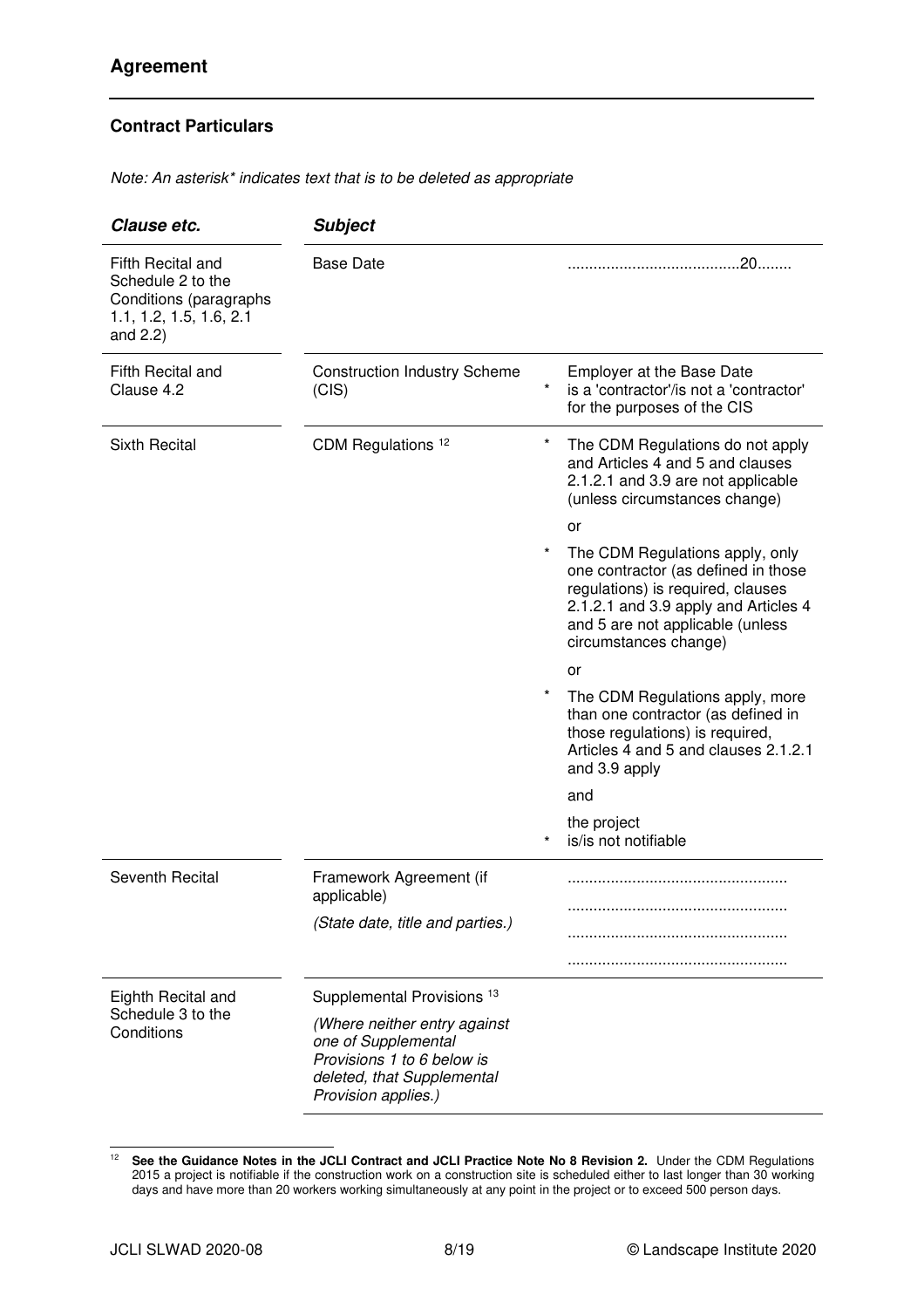Note: An asterisk\* indicates text that is to be deleted as appropriate

| Clause etc.                                                                                                | <b>Subject</b>                                                                                                                         |          |                                                                                                                                                                                                                  |
|------------------------------------------------------------------------------------------------------------|----------------------------------------------------------------------------------------------------------------------------------------|----------|------------------------------------------------------------------------------------------------------------------------------------------------------------------------------------------------------------------|
| Fifth Recital and<br>Schedule 2 to the<br>Conditions (paragraphs<br>1.1, 1.2, 1.5, 1.6, 2.1<br>and $2.2$ ) | <b>Base Date</b>                                                                                                                       |          |                                                                                                                                                                                                                  |
| Fifth Recital and<br>Clause 4.2                                                                            | <b>Construction Industry Scheme</b><br>(CIS)                                                                                           | $^\star$ | <b>Employer at the Base Date</b><br>is a 'contractor'/is not a 'contractor'<br>for the purposes of the CIS                                                                                                       |
| <b>Sixth Recital</b>                                                                                       | CDM Regulations <sup>12</sup>                                                                                                          | $\star$  | The CDM Regulations do not apply<br>and Articles 4 and 5 and clauses<br>2.1.2.1 and 3.9 are not applicable<br>(unless circumstances change)<br>or                                                                |
|                                                                                                            |                                                                                                                                        |          | The CDM Regulations apply, only<br>one contractor (as defined in those<br>regulations) is required, clauses<br>2.1.2.1 and 3.9 apply and Articles 4<br>and 5 are not applicable (unless<br>circumstances change) |
|                                                                                                            |                                                                                                                                        |          | or                                                                                                                                                                                                               |
|                                                                                                            |                                                                                                                                        |          | The CDM Regulations apply, more<br>than one contractor (as defined in<br>those regulations) is required,<br>Articles 4 and 5 and clauses 2.1.2.1<br>and 3.9 apply                                                |
|                                                                                                            |                                                                                                                                        |          | and                                                                                                                                                                                                              |
|                                                                                                            |                                                                                                                                        |          | the project<br>is/is not notifiable                                                                                                                                                                              |
| Seventh Recital                                                                                            | Framework Agreement (if<br>applicable)                                                                                                 |          |                                                                                                                                                                                                                  |
|                                                                                                            | (State date, title and parties.)                                                                                                       |          |                                                                                                                                                                                                                  |
| Eighth Recital and<br>Schedule 3 to the<br>Conditions                                                      | Supplemental Provisions <sup>13</sup>                                                                                                  |          |                                                                                                                                                                                                                  |
|                                                                                                            | (Where neither entry against<br>one of Supplemental<br>Provisions 1 to 6 below is<br>deleted, that Supplemental<br>Provision applies.) |          |                                                                                                                                                                                                                  |

<sup>&</sup>lt;sup>12</sup> See the Guidance Notes in the JCLI Contract and JCLI Practice Note No 8 Revision 2. Under the CDM Regulations 2015 a project is notifiable if the construction work on a construction site is scheduled either to last longer than 30 working days and have more than 20 workers working simultaneously at any point in the project or to exceed 500 person days.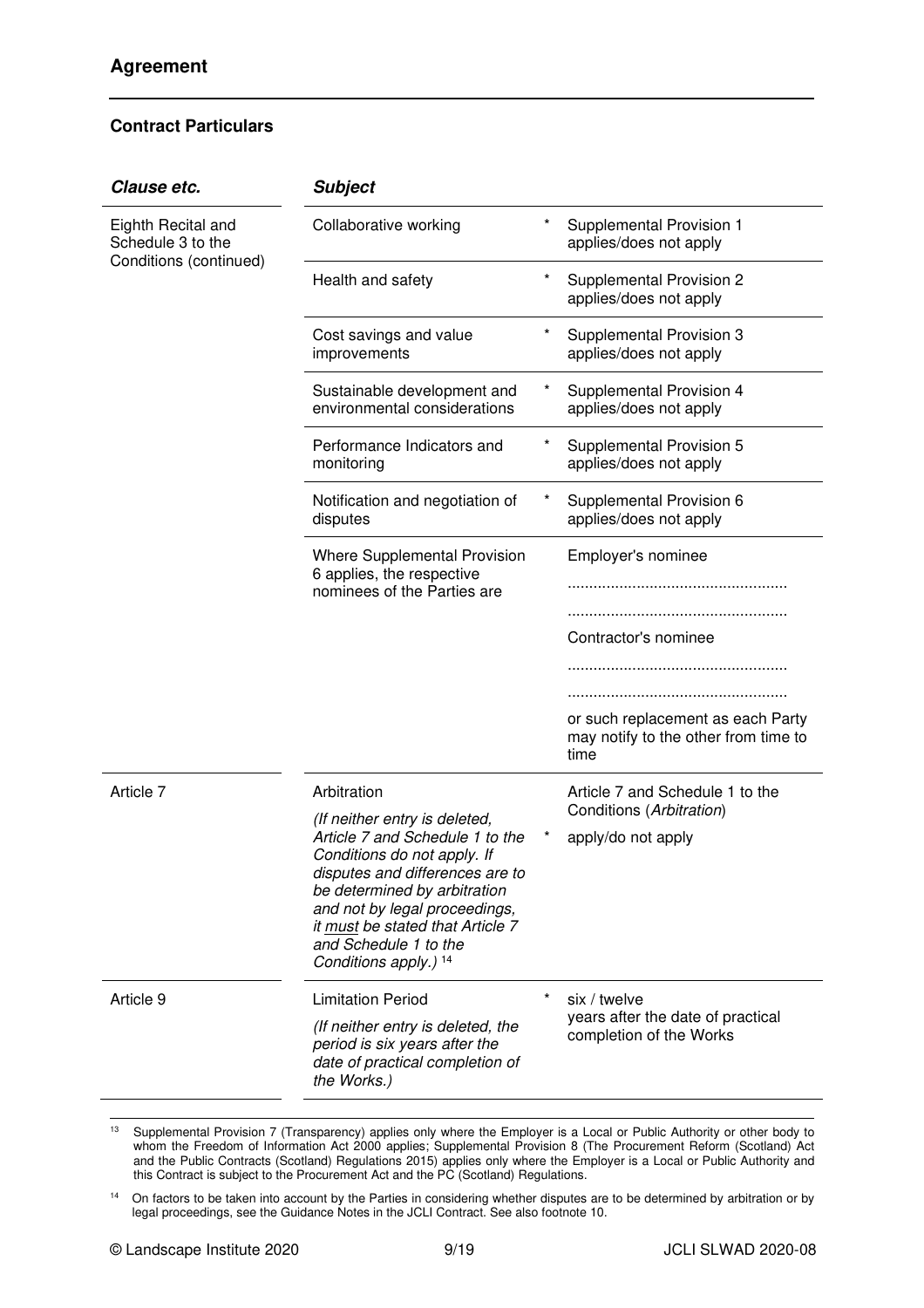| Clause etc.                             | <b>Subject</b>                                                                                                                                                                                                                                           |          |                                                                                   |
|-----------------------------------------|----------------------------------------------------------------------------------------------------------------------------------------------------------------------------------------------------------------------------------------------------------|----------|-----------------------------------------------------------------------------------|
| Eighth Recital and<br>Schedule 3 to the | Collaborative working                                                                                                                                                                                                                                    | *        | Supplemental Provision 1<br>applies/does not apply                                |
| Conditions (continued)                  | Health and safety                                                                                                                                                                                                                                        | $^\star$ | Supplemental Provision 2<br>applies/does not apply                                |
|                                         | Cost savings and value<br>improvements                                                                                                                                                                                                                   | *        | Supplemental Provision 3<br>applies/does not apply                                |
|                                         | Sustainable development and<br>environmental considerations                                                                                                                                                                                              | *        | Supplemental Provision 4<br>applies/does not apply                                |
|                                         | Performance Indicators and<br>monitoring                                                                                                                                                                                                                 | $^\star$ | Supplemental Provision 5<br>applies/does not apply                                |
|                                         | Notification and negotiation of<br>disputes                                                                                                                                                                                                              | *        | Supplemental Provision 6<br>applies/does not apply                                |
|                                         | <b>Where Supplemental Provision</b><br>6 applies, the respective<br>nominees of the Parties are                                                                                                                                                          |          | Employer's nominee                                                                |
|                                         |                                                                                                                                                                                                                                                          |          |                                                                                   |
|                                         |                                                                                                                                                                                                                                                          |          | Contractor's nominee                                                              |
|                                         |                                                                                                                                                                                                                                                          |          |                                                                                   |
|                                         |                                                                                                                                                                                                                                                          |          | or such replacement as each Party<br>may notify to the other from time to<br>time |
| Article 7                               | Arbitration                                                                                                                                                                                                                                              |          | Article 7 and Schedule 1 to the                                                   |
|                                         | (If neither entry is deleted,                                                                                                                                                                                                                            |          | Conditions (Arbitration)                                                          |
|                                         | Article 7 and Schedule 1 to the<br>Conditions do not apply. If<br>disputes and differences are to<br>be determined by arbitration<br>and not by legal proceedings,<br>it must be stated that Article 7<br>and Schedule 1 to the<br>Conditions apply.) 14 |          | apply/do not apply                                                                |
| Article 9                               | <b>Limitation Period</b>                                                                                                                                                                                                                                 | $\star$  | six / twelve                                                                      |
|                                         | (If neither entry is deleted, the<br>period is six years after the<br>date of practical completion of<br>the Works.)                                                                                                                                     |          | years after the date of practical<br>completion of the Works                      |

<sup>&</sup>lt;sup>13</sup> Supplemental Provision 7 (Transparency) applies only where the Employer is a Local or Public Authority or other body to whom the Freedom of Information Act 2000 applies; Supplemental Provision 8 (The Procurement Reform (Scotland) Act and the Public Contracts (Scotland) Regulations 2015) applies only where the Employer is a Local or Public Authority and this Contract is subject to the Procurement Act and the PC (Scotland) Regulations.

<sup>&</sup>lt;sup>14</sup> On factors to be taken into account by the Parties in considering whether disputes are to be determined by arbitration or by legal proceedings, see the Guidance Notes in the JCLI Contract. See also footnote 10.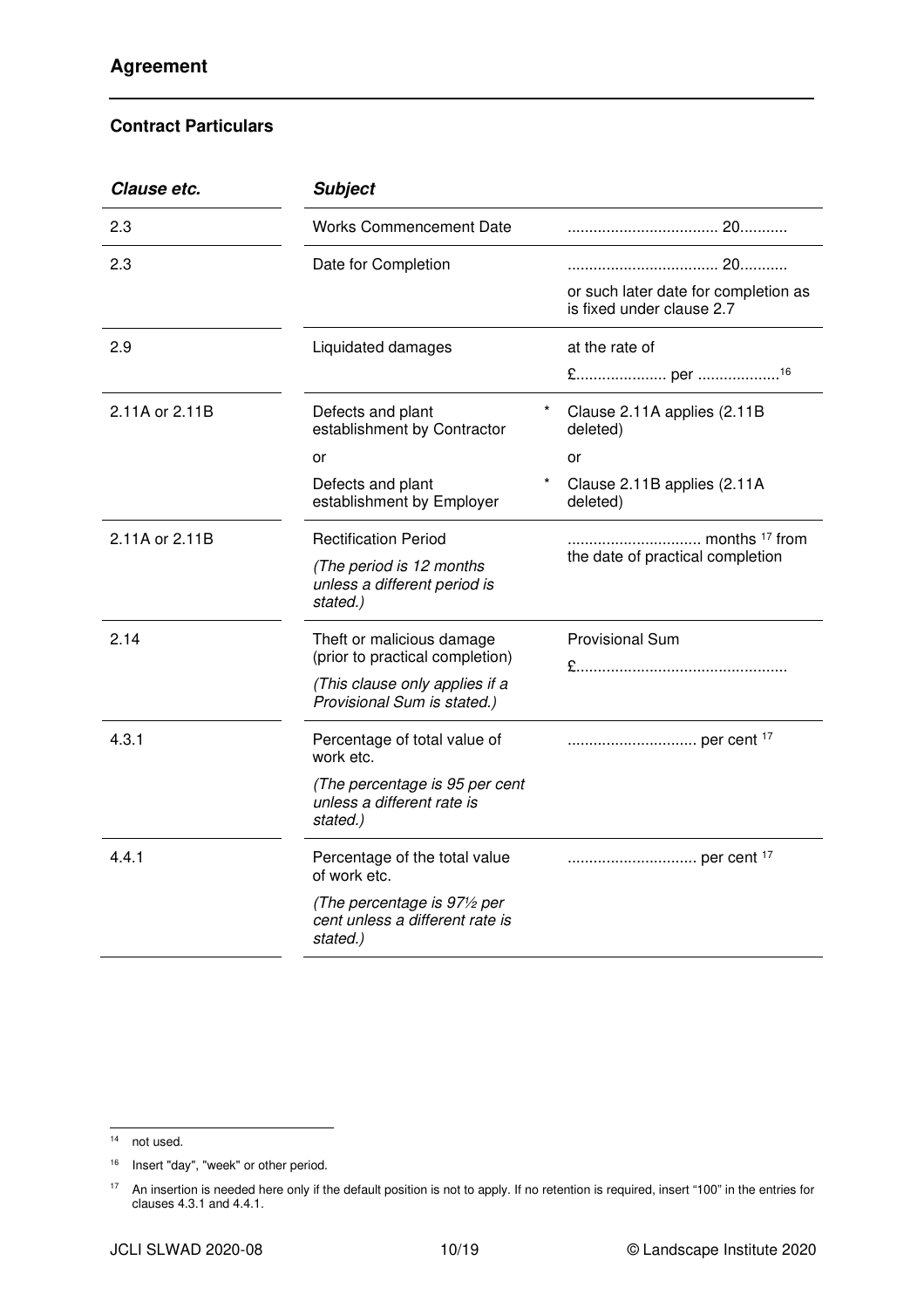| Clause etc.    | <b>Subject</b>                                                                        |                                                                   |
|----------------|---------------------------------------------------------------------------------------|-------------------------------------------------------------------|
| 2.3            | <b>Works Commencement Date</b>                                                        |                                                                   |
| 2.3            | Date for Completion                                                                   |                                                                   |
|                |                                                                                       | or such later date for completion as<br>is fixed under clause 2.7 |
| 2.9            | Liquidated damages                                                                    | at the rate of                                                    |
|                |                                                                                       |                                                                   |
| 2.11A or 2.11B | Defects and plant<br>establishment by Contractor                                      | Clause 2.11A applies (2.11B)<br>deleted)                          |
|                | or                                                                                    | or                                                                |
|                | Defects and plant<br>establishment by Employer                                        | Clause 2.11B applies (2.11A<br>deleted)                           |
| 2.11A or 2.11B | <b>Rectification Period</b>                                                           |                                                                   |
|                | (The period is 12 months<br>unless a different period is<br>stated.)                  | the date of practical completion                                  |
| 2.14           | Theft or malicious damage<br>(prior to practical completion)                          | <b>Provisional Sum</b>                                            |
|                | (This clause only applies if a<br>Provisional Sum is stated.)                         |                                                                   |
| 4.3.1          | Percentage of total value of<br>work etc.                                             |                                                                   |
|                | (The percentage is 95 per cent<br>unless a different rate is<br>stated.)              |                                                                   |
| 4.4.1          | Percentage of the total value<br>of work etc.                                         |                                                                   |
|                | (The percentage is $97\frac{1}{2}$ per<br>cent unless a different rate is<br>stated.) |                                                                   |

 $14$  not used.

<sup>&</sup>lt;sup>16</sup> Insert "day", "week" or other period.

<sup>&</sup>lt;sup>17</sup> An insertion is needed here only if the default position is not to apply. If no retention is required, insert "100" in the entries for clauses 4.3.1 and 4.4.1.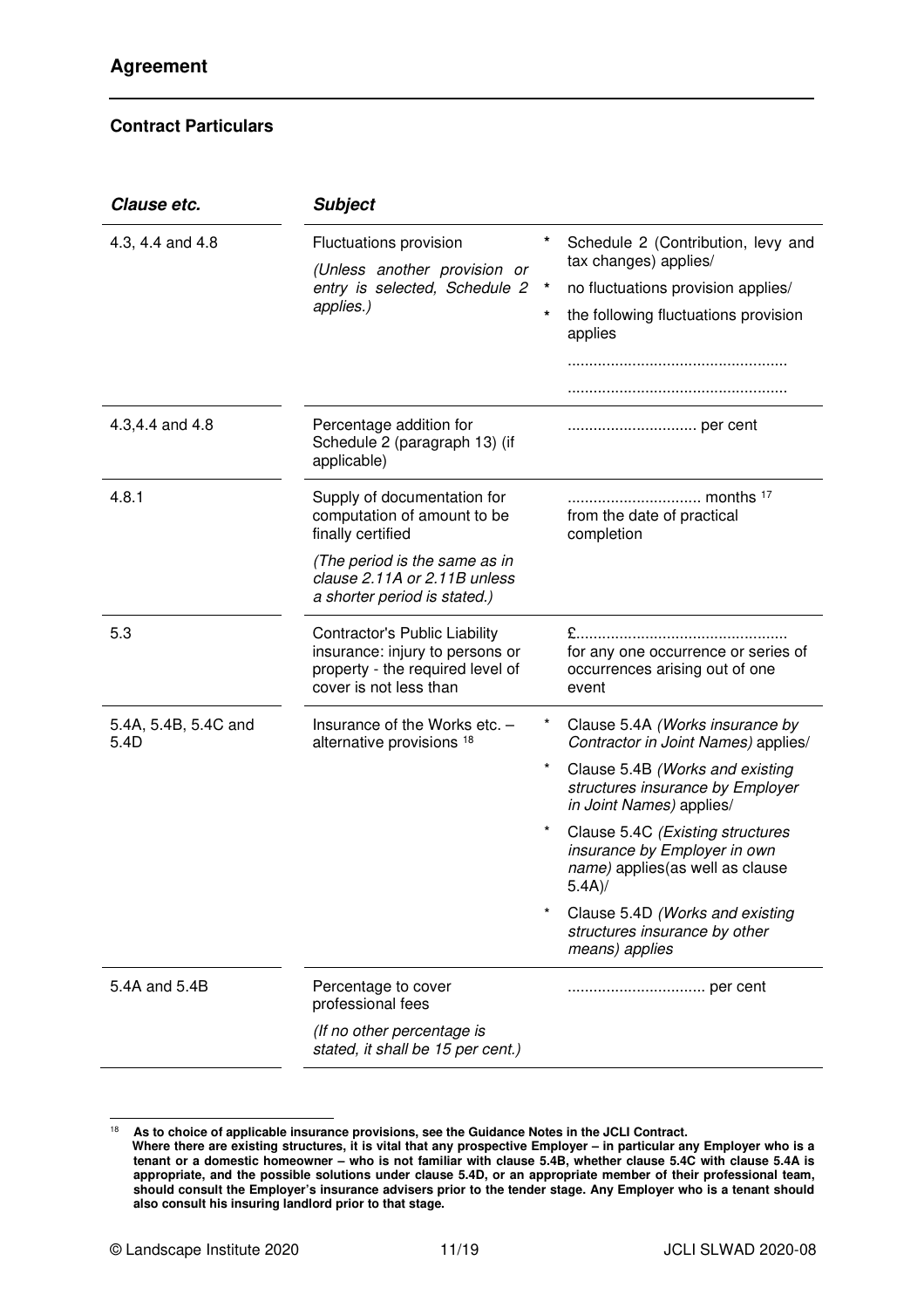| Clause etc.                  | <b>Subject</b>                                                                                                                 |          |                                                                                                                   |
|------------------------------|--------------------------------------------------------------------------------------------------------------------------------|----------|-------------------------------------------------------------------------------------------------------------------|
| 4.3, 4.4 and 4.8             | Fluctuations provision                                                                                                         |          | Schedule 2 (Contribution, levy and<br>tax changes) applies/                                                       |
|                              | (Unless another provision or<br>entry is selected, Schedule 2                                                                  | $\star$  | no fluctuations provision applies/                                                                                |
|                              | applies.)                                                                                                                      | $\star$  | the following fluctuations provision<br>applies                                                                   |
|                              |                                                                                                                                |          |                                                                                                                   |
|                              |                                                                                                                                |          |                                                                                                                   |
| 4.3,4.4 and 4.8              | Percentage addition for<br>Schedule 2 (paragraph 13) (if<br>applicable)                                                        |          |                                                                                                                   |
| 4.8.1                        | Supply of documentation for<br>computation of amount to be<br>finally certified                                                |          | months <sup>17</sup><br>from the date of practical<br>completion                                                  |
|                              | (The period is the same as in<br>clause 2.11A or 2.11B unless<br>a shorter period is stated.)                                  |          |                                                                                                                   |
| 5.3                          | Contractor's Public Liability<br>insurance: injury to persons or<br>property - the required level of<br>cover is not less than |          | for any one occurrence or series of<br>occurrences arising out of one<br>event                                    |
| 5.4A, 5.4B, 5.4C and<br>5.4D | Insurance of the Works etc. -<br>alternative provisions 18                                                                     | $\star$  | Clause 5.4A (Works insurance by<br>Contractor in Joint Names) applies/                                            |
|                              |                                                                                                                                | $\star$  | Clause 5.4B (Works and existing<br>structures insurance by Employer<br>in Joint Names) applies/                   |
|                              |                                                                                                                                | $^\star$ | Clause 5.4C (Existing structures<br>insurance by Employer in own<br>name) applies (as well as clause<br>$5.4A$ )/ |
|                              |                                                                                                                                |          | Clause 5.4D (Works and existing<br>structures insurance by other<br>means) applies                                |
| 5.4A and 5.4B                | Percentage to cover<br>professional fees                                                                                       |          |                                                                                                                   |
|                              | (If no other percentage is<br>stated, it shall be 15 per cent.)                                                                |          |                                                                                                                   |

<sup>18</sup> **As to choice of applicable insurance provisions, see the Guidance Notes in the JCLI Contract.** 

**Where there are existing structures, it is vital that any prospective Employer – in particular any Employer who is a tenant or a domestic homeowner – who is not familiar with clause 5.4B, whether clause 5.4C with clause 5.4A is appropriate, and the possible solutions under clause 5.4D, or an appropriate member of their professional team, should consult the Employer's insurance advisers prior to the tender stage. Any Employer who is a tenant should also consult his insuring landlord prior to that stage.**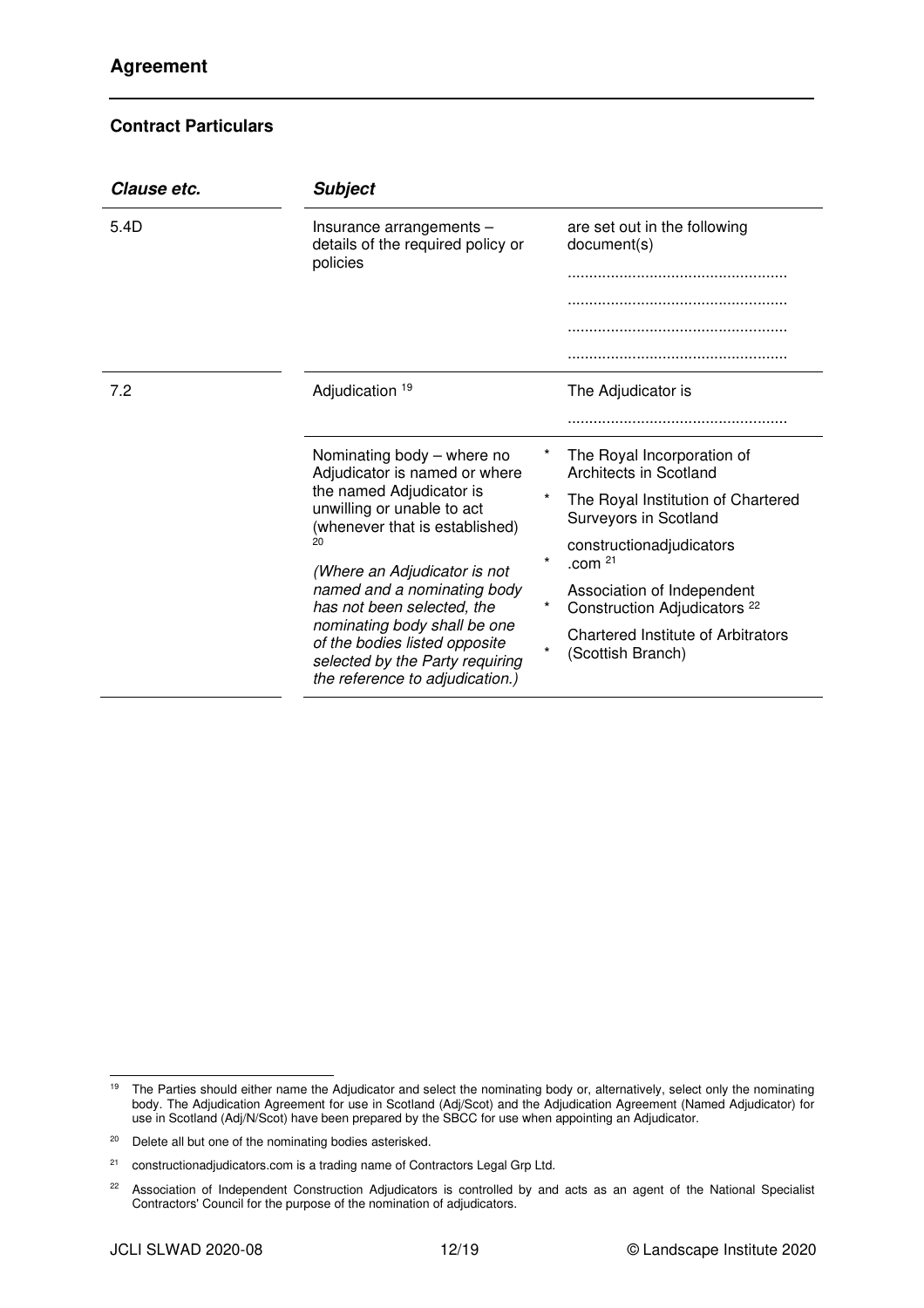| <b>Subject</b>                                                                                                                                                                                                                         |                                                                        |                                                                       |
|----------------------------------------------------------------------------------------------------------------------------------------------------------------------------------------------------------------------------------------|------------------------------------------------------------------------|-----------------------------------------------------------------------|
| Insurance arrangements -<br>details of the required policy or                                                                                                                                                                          |                                                                        | are set out in the following<br>document(s)                           |
|                                                                                                                                                                                                                                        |                                                                        |                                                                       |
|                                                                                                                                                                                                                                        |                                                                        |                                                                       |
|                                                                                                                                                                                                                                        |                                                                        |                                                                       |
|                                                                                                                                                                                                                                        |                                                                        |                                                                       |
| Adjudication 19                                                                                                                                                                                                                        |                                                                        | The Adjudicator is                                                    |
|                                                                                                                                                                                                                                        |                                                                        |                                                                       |
| Nominating body - where no<br>Adjudicator is named or where                                                                                                                                                                            |                                                                        | The Royal Incorporation of<br>Architects in Scotland                  |
| unwilling or unable to act                                                                                                                                                                                                             |                                                                        | The Royal Institution of Chartered<br>Surveyors in Scotland           |
| 20<br>(Where an Adjudicator is not<br>named and a nominating body<br>has not been selected, the<br>nominating body shall be one<br>of the bodies listed opposite<br>selected by the Party requiring<br>the reference to adjudication.) | $\star$                                                                | constructionadjudicators<br>.com $21$                                 |
|                                                                                                                                                                                                                                        |                                                                        | Association of Independent<br>Construction Adjudicators <sup>22</sup> |
|                                                                                                                                                                                                                                        | $\star$                                                                | Chartered Institute of Arbitrators<br>(Scottish Branch)               |
|                                                                                                                                                                                                                                        | policies<br>the named Adjudicator is<br>(whenever that is established) |                                                                       |

<sup>&</sup>lt;sup>19</sup> The Parties should either name the Adjudicator and select the nominating body or, alternatively, select only the nominating body. The Adjudication Agreement for use in Scotland (Adj/Scot) and the Adjudication Agreement (Named Adjudicator) for use in Scotland (Adj/N/Scot) have been prepared by the SBCC for use when appointing an Adjudicator.

<sup>20</sup> Delete all but one of the nominating bodies asterisked.

<sup>&</sup>lt;sup>21</sup> constructionadjudicators.com is a trading name of Contractors Legal Grp Ltd.

<sup>&</sup>lt;sup>22</sup> Association of Independent Construction Adjudicators is controlled by and acts as an agent of the National Specialist Contractors' Council for the purpose of the nomination of adjudicators.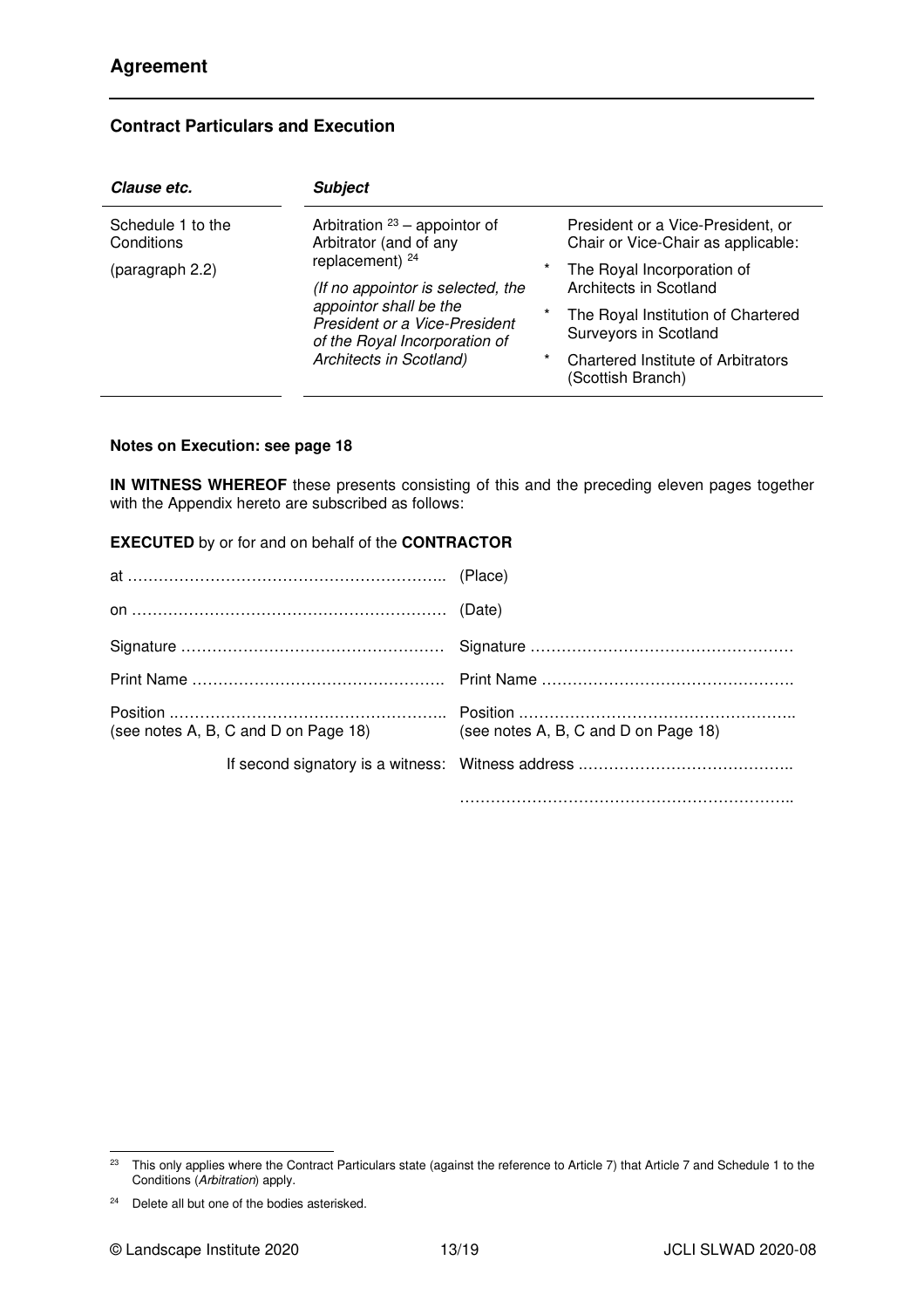| Clause etc.                                                                                                                                                                                                                                                                                      | <b>Subject</b> |                                                                         |                                                                |
|--------------------------------------------------------------------------------------------------------------------------------------------------------------------------------------------------------------------------------------------------------------------------------------------------|----------------|-------------------------------------------------------------------------|----------------------------------------------------------------|
| Arbitration $23$ – appointor of<br>Schedule 1 to the<br>Arbitrator (and of any<br>Conditions<br>replacement) $24$<br>(paragraph 2.2)<br>(If no appointor is selected, the<br>appointor shall be the<br>President or a Vice-President<br>of the Royal Incorporation of<br>Architects in Scotland) |                | President or a Vice-President, or<br>Chair or Vice-Chair as applicable: |                                                                |
|                                                                                                                                                                                                                                                                                                  | *              | The Royal Incorporation of<br>Architects in Scotland                    |                                                                |
|                                                                                                                                                                                                                                                                                                  | $^\star$       | The Royal Institution of Chartered<br>Surveyors in Scotland             |                                                                |
|                                                                                                                                                                                                                                                                                                  |                | $^\star$                                                                | <b>Chartered Institute of Arbitrators</b><br>(Scottish Branch) |

# **Contract Particulars and Execution**

#### **Notes on Execution: see page 18**

**IN WITNESS WHEREOF** these presents consisting of this and the preceding eleven pages together with the Appendix hereto are subscribed as follows:

#### **EXECUTED** by or for and on behalf of the **CONTRACTOR**

| (see notes A, B, C and D on Page 18) | (see notes A, B, C and D on Page 18) |
|--------------------------------------|--------------------------------------|
|                                      |                                      |
|                                      |                                      |

<sup>&</sup>lt;sup>23</sup> This only applies where the Contract Particulars state (against the reference to Article 7) that Article 7 and Schedule 1 to the Conditions (Arbitration) apply.

 $24$  Delete all but one of the bodies asterisked.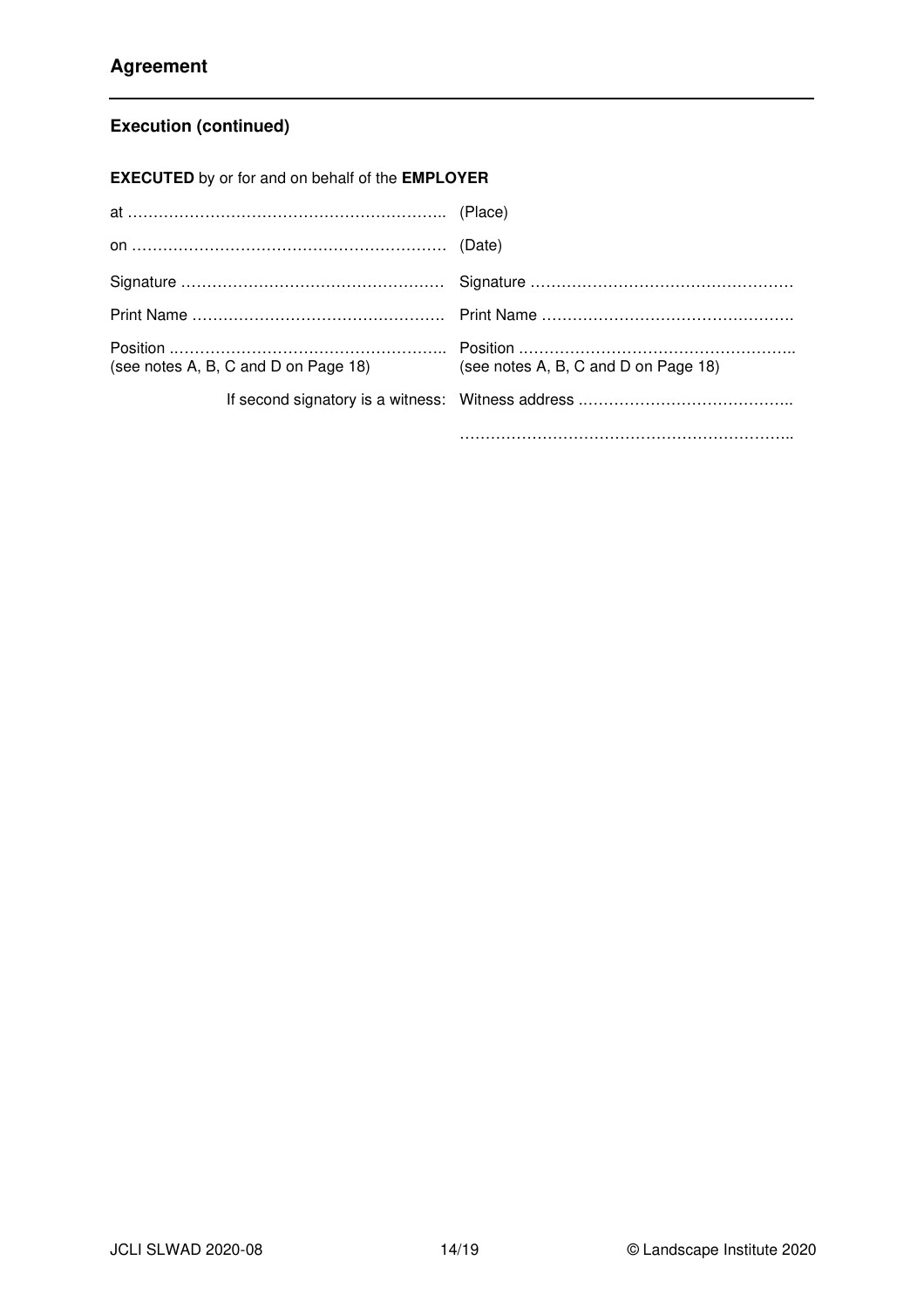# **Execution (continued)**

**EXECUTED** by or for and on behalf of the **EMPLOYER**

| (see notes A, B, C and D on Page 18) | (see notes A, B, C and D on Page 18) |
|--------------------------------------|--------------------------------------|
|                                      |                                      |
|                                      |                                      |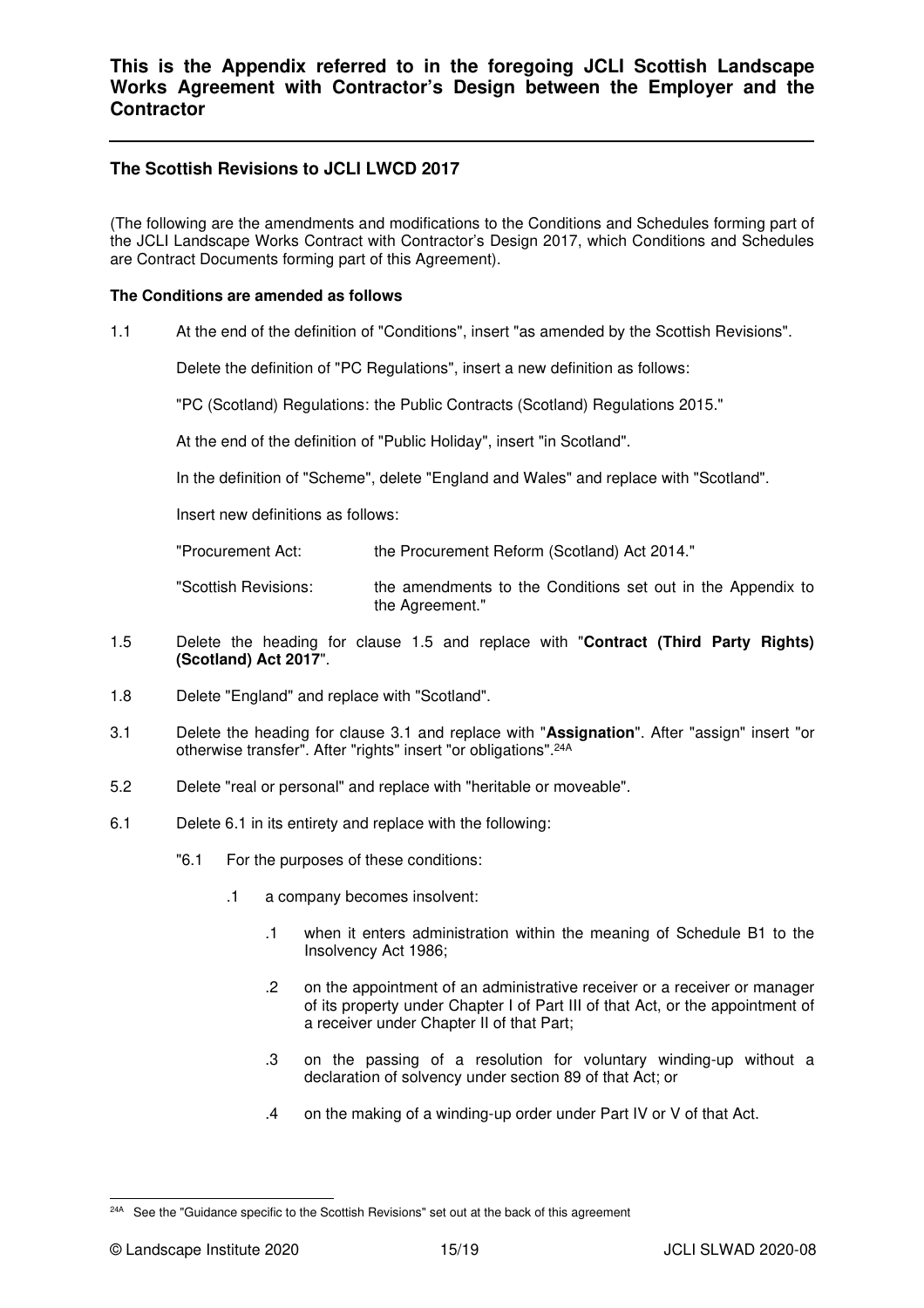# **The Scottish Revisions to JCLI LWCD 2017**

(The following are the amendments and modifications to the Conditions and Schedules forming part of the JCLI Landscape Works Contract with Contractor's Design 2017, which Conditions and Schedules are Contract Documents forming part of this Agreement).

#### **The Conditions are amended as follows**

1.1 At the end of the definition of "Conditions", insert "as amended by the Scottish Revisions".

Delete the definition of "PC Regulations", insert a new definition as follows:

"PC (Scotland) Regulations: the Public Contracts (Scotland) Regulations 2015."

At the end of the definition of "Public Holiday", insert "in Scotland".

In the definition of "Scheme", delete "England and Wales" and replace with "Scotland".

Insert new definitions as follows:

"Procurement Act: the Procurement Reform (Scotland) Act 2014."

"Scottish Revisions: the amendments to the Conditions set out in the Appendix to the Agreement."

- 1.5 Delete the heading for clause 1.5 and replace with "**Contract (Third Party Rights) (Scotland) Act 2017**".
- 1.8 Delete "England" and replace with "Scotland".
- 3.1 Delete the heading for clause 3.1 and replace with "**Assignation**". After "assign" insert "or otherwise transfer". After "rights" insert "or obligations".24A
- 5.2 Delete "real or personal" and replace with "heritable or moveable".
- 6.1 Delete 6.1 in its entirety and replace with the following:
	- "6.1 For the purposes of these conditions:
		- .1 a company becomes insolvent:
			- .1 when it enters administration within the meaning of Schedule B1 to the Insolvency Act 1986;
			- .2 on the appointment of an administrative receiver or a receiver or manager of its property under Chapter I of Part III of that Act, or the appointment of a receiver under Chapter II of that Part;
			- .3 on the passing of a resolution for voluntary winding-up without a declaration of solvency under section 89 of that Act; or
			- .4 on the making of a winding-up order under Part IV or V of that Act.

<sup>&</sup>lt;sup>24A</sup> See the "Guidance specific to the Scottish Revisions" set out at the back of this agreement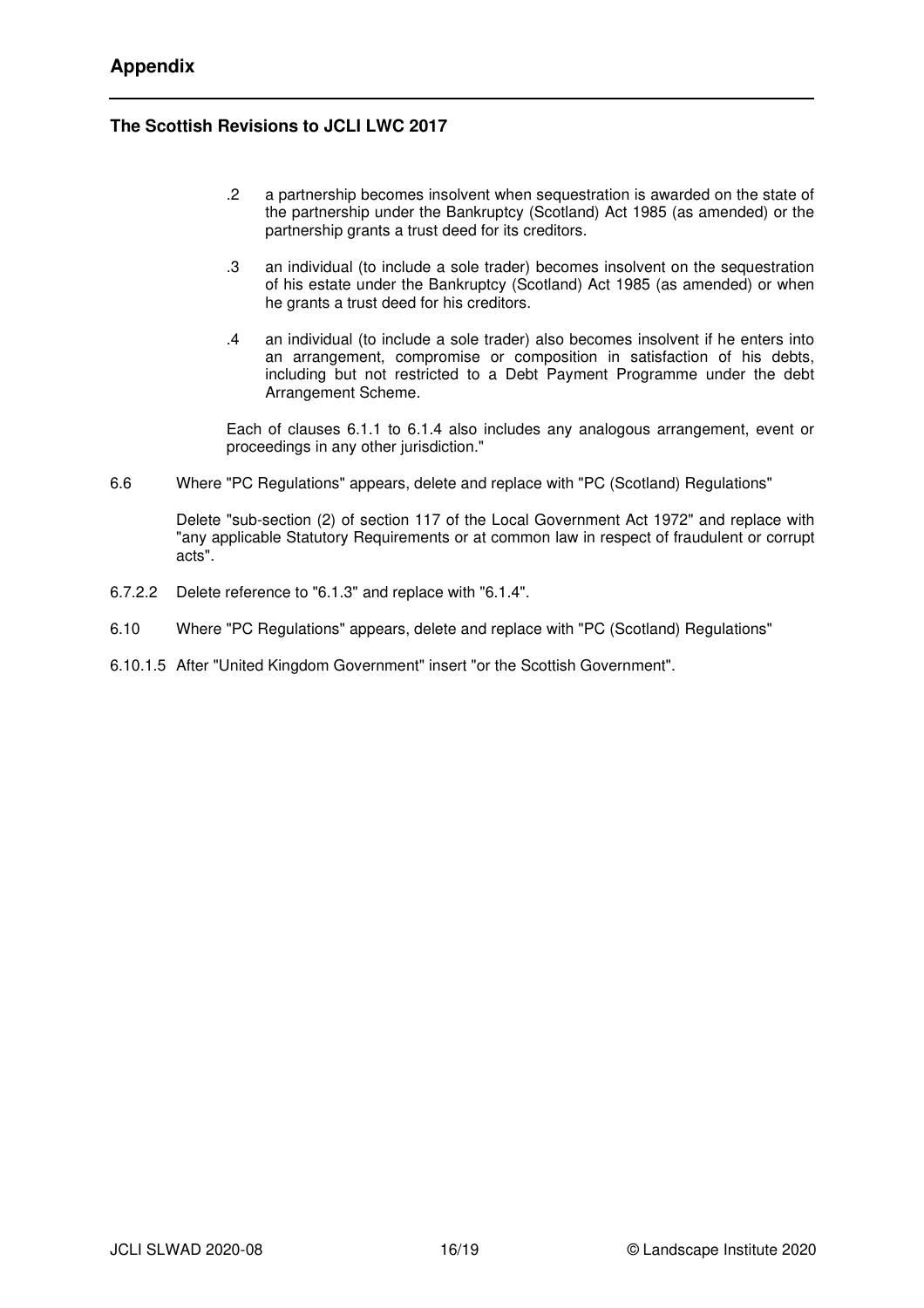# **The Scottish Revisions to JCLI LWC 2017**

- .2 a partnership becomes insolvent when sequestration is awarded on the state of the partnership under the Bankruptcy (Scotland) Act 1985 (as amended) or the partnership grants a trust deed for its creditors.
- .3 an individual (to include a sole trader) becomes insolvent on the sequestration of his estate under the Bankruptcy (Scotland) Act 1985 (as amended) or when he grants a trust deed for his creditors.
- .4 an individual (to include a sole trader) also becomes insolvent if he enters into an arrangement, compromise or composition in satisfaction of his debts, including but not restricted to a Debt Payment Programme under the debt Arrangement Scheme.

Each of clauses 6.1.1 to 6.1.4 also includes any analogous arrangement, event or proceedings in any other jurisdiction."

6.6 Where "PC Regulations" appears, delete and replace with "PC (Scotland) Regulations"

Delete "sub-section (2) of section 117 of the Local Government Act 1972" and replace with "any applicable Statutory Requirements or at common law in respect of fraudulent or corrupt acts".

- 6.7.2.2 Delete reference to "6.1.3" and replace with "6.1.4".
- 6.10 Where "PC Regulations" appears, delete and replace with "PC (Scotland) Regulations"
- 6.10.1.5 After "United Kingdom Government" insert "or the Scottish Government".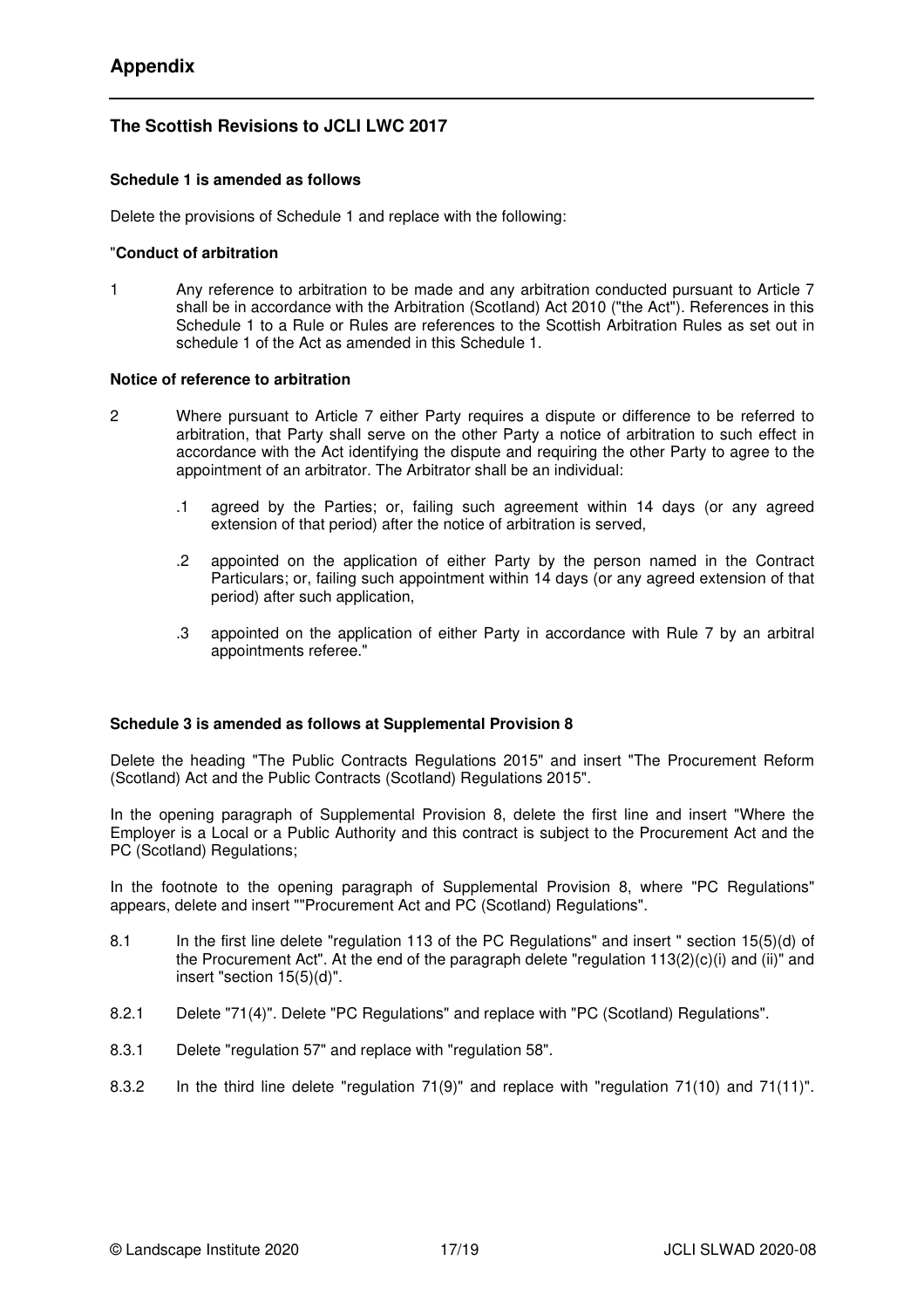# **The Scottish Revisions to JCLI LWC 2017**

#### **Schedule 1 is amended as follows**

Delete the provisions of Schedule 1 and replace with the following:

#### "**Conduct of arbitration**

1 Any reference to arbitration to be made and any arbitration conducted pursuant to Article 7 shall be in accordance with the Arbitration (Scotland) Act 2010 ("the Act"). References in this Schedule 1 to a Rule or Rules are references to the Scottish Arbitration Rules as set out in schedule 1 of the Act as amended in this Schedule 1.

#### **Notice of reference to arbitration**

- 2 Where pursuant to Article 7 either Party requires a dispute or difference to be referred to arbitration, that Party shall serve on the other Party a notice of arbitration to such effect in accordance with the Act identifying the dispute and requiring the other Party to agree to the appointment of an arbitrator. The Arbitrator shall be an individual:
	- .1 agreed by the Parties; or, failing such agreement within 14 days (or any agreed extension of that period) after the notice of arbitration is served,
	- .2 appointed on the application of either Party by the person named in the Contract Particulars; or, failing such appointment within 14 days (or any agreed extension of that period) after such application,
	- .3 appointed on the application of either Party in accordance with Rule 7 by an arbitral appointments referee."

#### **Schedule 3 is amended as follows at Supplemental Provision 8**

Delete the heading "The Public Contracts Regulations 2015" and insert "The Procurement Reform (Scotland) Act and the Public Contracts (Scotland) Regulations 2015".

In the opening paragraph of Supplemental Provision 8, delete the first line and insert "Where the Employer is a Local or a Public Authority and this contract is subject to the Procurement Act and the PC (Scotland) Regulations;

In the footnote to the opening paragraph of Supplemental Provision 8, where "PC Regulations" appears, delete and insert ""Procurement Act and PC (Scotland) Regulations".

- 8.1 In the first line delete "regulation 113 of the PC Regulations" and insert " section 15(5)(d) of the Procurement Act". At the end of the paragraph delete "regulation 113(2)(c)(i) and (ii)" and insert "section 15(5)(d)".
- 8.2.1 Delete "71(4)". Delete "PC Regulations" and replace with "PC (Scotland) Regulations".
- 8.3.1 Delete "regulation 57" and replace with "regulation 58".
- 8.3.2 In the third line delete "regulation 71(9)" and replace with "regulation 71(10) and 71(11)".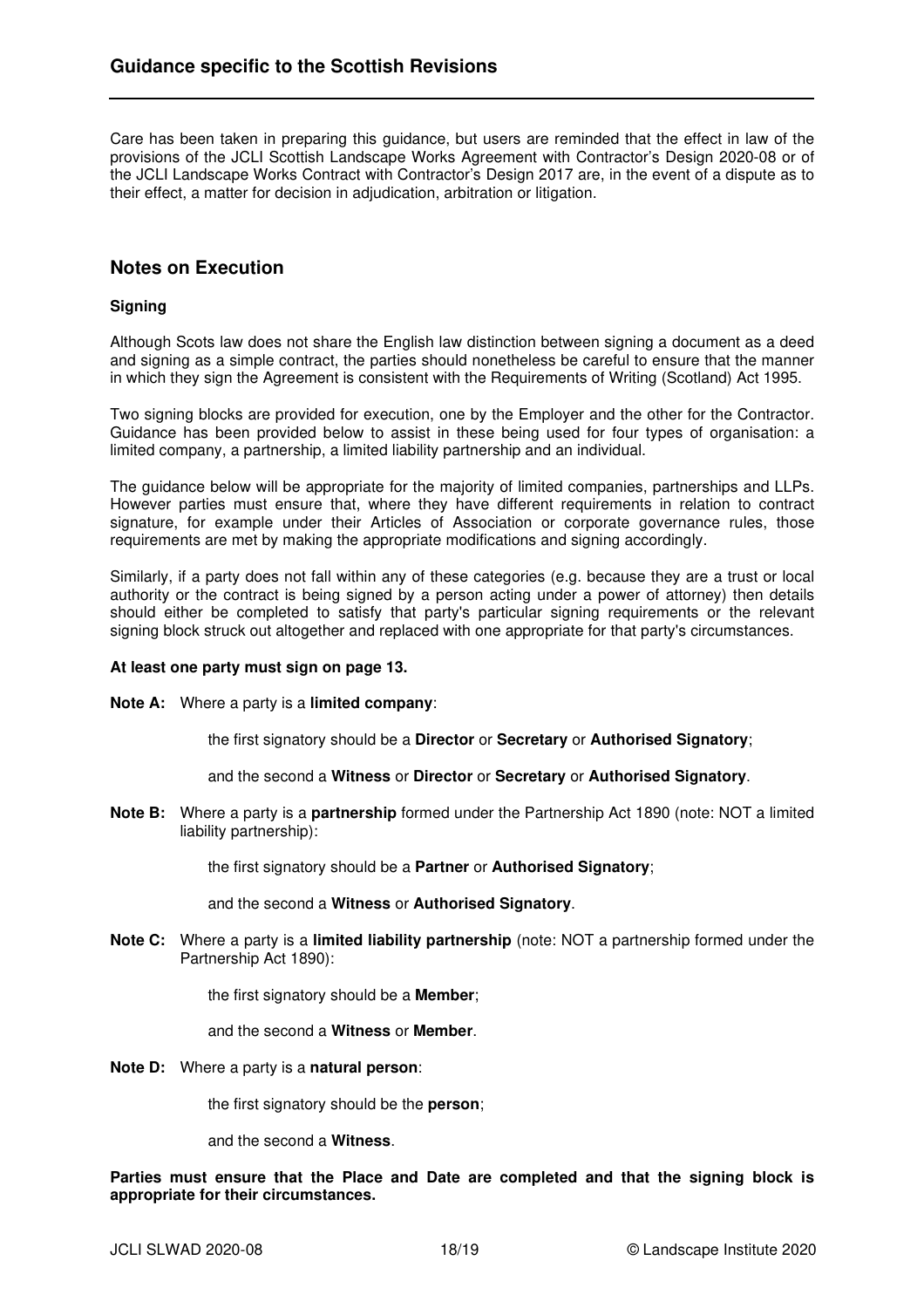Care has been taken in preparing this guidance, but users are reminded that the effect in law of the provisions of the JCLI Scottish Landscape Works Agreement with Contractor's Design 2020-08 or of the JCLI Landscape Works Contract with Contractor's Design 2017 are, in the event of a dispute as to their effect, a matter for decision in adjudication, arbitration or litigation.

## **Notes on Execution**

#### **Signing**

Although Scots law does not share the English law distinction between signing a document as a deed and signing as a simple contract, the parties should nonetheless be careful to ensure that the manner in which they sign the Agreement is consistent with the Requirements of Writing (Scotland) Act 1995.

Two signing blocks are provided for execution, one by the Employer and the other for the Contractor. Guidance has been provided below to assist in these being used for four types of organisation: a limited company, a partnership, a limited liability partnership and an individual.

The guidance below will be appropriate for the majority of limited companies, partnerships and LLPs. However parties must ensure that, where they have different requirements in relation to contract signature, for example under their Articles of Association or corporate governance rules, those requirements are met by making the appropriate modifications and signing accordingly.

Similarly, if a party does not fall within any of these categories (e.g. because they are a trust or local authority or the contract is being signed by a person acting under a power of attorney) then details should either be completed to satisfy that party's particular signing requirements or the relevant signing block struck out altogether and replaced with one appropriate for that party's circumstances.

#### **At least one party must sign on page 13.**

**Note A:** Where a party is a **limited company**:

the first signatory should be a **Director** or **Secretary** or **Authorised Signatory**;

and the second a **Witness** or **Director** or **Secretary** or **Authorised Signatory**.

**Note B:** Where a party is a **partnership** formed under the Partnership Act 1890 (note: NOT a limited liability partnership):

the first signatory should be a **Partner** or **Authorised Signatory**;

and the second a **Witness** or **Authorised Signatory**.

**Note C:** Where a party is a **limited liability partnership** (note: NOT a partnership formed under the Partnership Act 1890):

the first signatory should be a **Member**;

and the second a **Witness** or **Member**.

**Note D:** Where a party is a **natural person**:

the first signatory should be the **person**;

and the second a **Witness**.

**Parties must ensure that the Place and Date are completed and that the signing block is appropriate for their circumstances.**